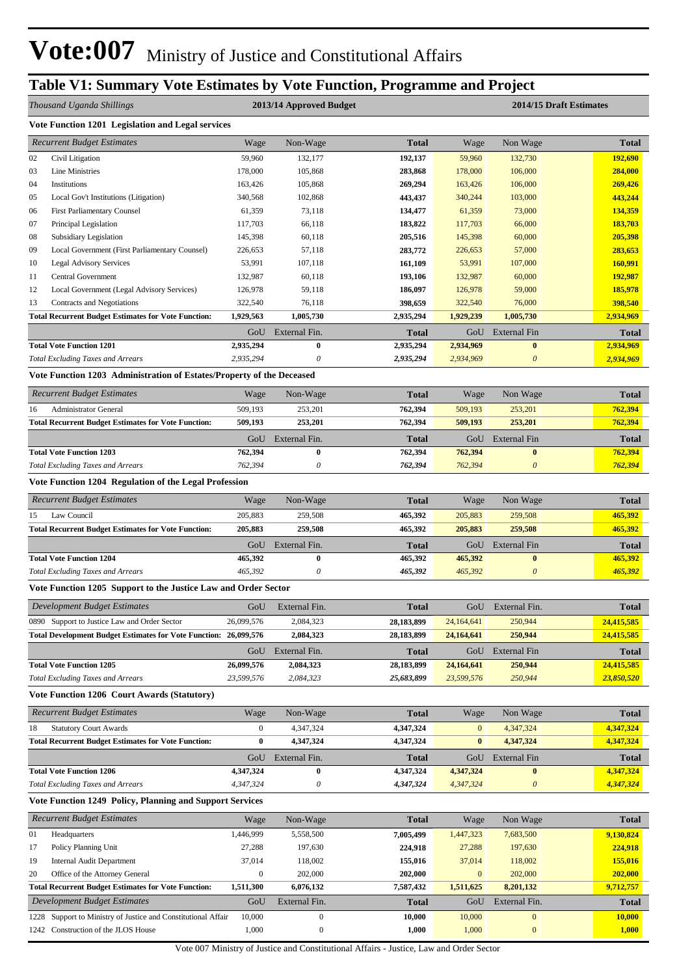## **Table V1: Summary Vote Estimates by Vote Function, Programme and Project**

|    | Thousand Uganda Shillings                                                                |                      | 2013/14 Approved Budget |                      | 2014/15 Draft Estimates |                           |                      |  |  |  |
|----|------------------------------------------------------------------------------------------|----------------------|-------------------------|----------------------|-------------------------|---------------------------|----------------------|--|--|--|
|    | Vote Function 1201 Legislation and Legal services                                        |                      |                         |                      |                         |                           |                      |  |  |  |
|    | <b>Recurrent Budget Estimates</b>                                                        | Wage                 | Non-Wage                | <b>Total</b>         | Wage                    | Non Wage                  | <b>Total</b>         |  |  |  |
| 02 | Civil Litigation                                                                         | 59,960               | 132,177                 | 192,137              | 59,960                  | 132,730                   | 192,690              |  |  |  |
| 03 | Line Ministries                                                                          | 178,000              | 105,868                 | 283,868              | 178,000                 | 106,000                   | 284,000              |  |  |  |
| 04 | Institutions                                                                             | 163,426              | 105,868                 | 269,294              | 163,426                 | 106,000                   | 269,426              |  |  |  |
| 05 | Local Gov't Institutions (Litigation)                                                    | 340,568              | 102,868                 | 443,437              | 340,244                 | 103,000                   | 443,244              |  |  |  |
| 06 | <b>First Parliamentary Counsel</b>                                                       | 61,359               | 73,118                  | 134,477              | 61,359                  | 73,000                    | 134,359              |  |  |  |
| 07 | Principal Legislation                                                                    | 117,703              | 66,118                  | 183,822              | 117,703                 | 66,000                    | 183,703              |  |  |  |
| 08 | Subsidiary Legislation                                                                   | 145,398              | 60,118                  | 205,516              | 145,398                 | 60,000                    | 205,398              |  |  |  |
| 09 | Local Government (First Parliamentary Counsel)                                           | 226,653              | 57,118                  | 283,772              | 226,653                 | 57,000                    | 283,653              |  |  |  |
| 10 | <b>Legal Advisory Services</b>                                                           | 53,991               | 107,118                 | 161,109              | 53,991                  | 107,000                   | 160,991              |  |  |  |
| 11 | <b>Central Government</b>                                                                | 132,987              | 60,118                  | 193,106              | 132,987                 | 60,000                    | 192,987              |  |  |  |
| 12 | Local Government (Legal Advisory Services)                                               | 126,978              | 59,118                  | 186,097              | 126,978                 | 59,000<br>76,000          | 185,978              |  |  |  |
| 13 | Contracts and Negotiations<br><b>Total Recurrent Budget Estimates for Vote Function:</b> | 322,540<br>1,929,563 | 76,118<br>1,005,730     | 398,659<br>2,935,294 | 322,540<br>1,929,239    | 1,005,730                 | 398,540<br>2,934,969 |  |  |  |
|    |                                                                                          | GoU                  | External Fin.           | <b>Total</b>         | GoU                     | External Fin              | Total                |  |  |  |
|    | <b>Total Vote Function 1201</b>                                                          | 2,935,294            | $\bf{0}$                | 2,935,294            | 2,934,969               | $\pmb{0}$                 | 2,934,969            |  |  |  |
|    | <b>Total Excluding Taxes and Arrears</b>                                                 | 2,935,294            | $\boldsymbol{\theta}$   | 2,935,294            | 2,934,969               | $\boldsymbol{\mathit{0}}$ | 2,934,969            |  |  |  |
|    | Vote Function 1203 Administration of Estates/Property of the Deceased                    |                      |                         |                      |                         |                           |                      |  |  |  |
|    | <b>Recurrent Budget Estimates</b>                                                        | Wage                 | Non-Wage                | <b>Total</b>         | Wage                    | Non Wage                  | <b>Total</b>         |  |  |  |
| 16 | <b>Administrator General</b>                                                             | 509,193              | 253,201                 | 762,394              | 509,193                 | 253,201                   | 762,394              |  |  |  |
|    | <b>Total Recurrent Budget Estimates for Vote Function:</b>                               | 509,193              | 253,201                 | 762,394              | 509,193                 | 253,201                   | 762,394              |  |  |  |
|    |                                                                                          | GoU                  | External Fin.           | <b>Total</b>         | GoU                     | <b>External Fin</b>       | <b>Total</b>         |  |  |  |
|    | <b>Total Vote Function 1203</b>                                                          | 762,394              | $\bf{0}$                | 762,394              | 762,394                 | $\boldsymbol{0}$          | 762,394              |  |  |  |
|    | <b>Total Excluding Taxes and Arrears</b>                                                 | 762,394              | 0                       | 762,394              | 762,394                 | $\boldsymbol{\theta}$     | 762,394              |  |  |  |
|    | Vote Function 1204 Regulation of the Legal Profession                                    |                      |                         |                      |                         |                           |                      |  |  |  |
|    | <b>Recurrent Budget Estimates</b>                                                        | Wage                 | Non-Wage                | <b>Total</b>         | Wage                    | Non Wage                  | <b>Total</b>         |  |  |  |
| 15 | Law Council                                                                              | 205,883              | 259,508                 | 465,392              | 205,883                 | 259,508                   | 465,392              |  |  |  |
|    | <b>Total Recurrent Budget Estimates for Vote Function:</b>                               | 205,883              | 259,508                 | 465,392              | 205,883                 | 259,508                   | 465,392              |  |  |  |
|    |                                                                                          | GoU                  | External Fin.           | <b>Total</b>         | GoU                     | <b>External Fin</b>       | <b>Total</b>         |  |  |  |
|    | <b>Total Vote Function 1204</b>                                                          | 465,392              | $\bf{0}$                | 465,392              | 465,392                 | $\bf{0}$                  | 465,392              |  |  |  |
|    | <b>Total Excluding Taxes and Arrears</b>                                                 | 465,392              | 0                       | 465,392              | 465,392                 | $\boldsymbol{\theta}$     | 465,392              |  |  |  |
|    | Vote Function 1205 Support to the Justice Law and Order Sector                           |                      |                         |                      |                         |                           |                      |  |  |  |
|    | <b>Development Budget Estimates</b>                                                      | GoU                  | External Fin.           | <b>Total</b>         |                         | GoU External Fin.         | <b>Total</b>         |  |  |  |
|    | 0890 Support to Justice Law and Order Sector                                             | 26,099,576           | 2,084,323               | 28,183,899           | 24,164,641              | 250,944                   | 24,415,585           |  |  |  |
|    | <b>Total Development Budget Estimates for Vote Function:</b>                             | 26,099,576           | 2,084,323               | 28,183,899           | 24,164,641              | 250,944                   | 24,415,585           |  |  |  |
|    |                                                                                          | GoU                  | External Fin.           | <b>Total</b>         | GoU                     | <b>External Fin</b>       | <b>Total</b>         |  |  |  |
|    | <b>Total Vote Function 1205</b>                                                          | 26,099,576           | 2,084,323               | 28,183,899           | 24,164,641              | 250,944                   | 24,415,585           |  |  |  |
|    | <b>Total Excluding Taxes and Arrears</b>                                                 | 23,599,576           | 2,084,323               | 25,683,899           | 23,599,576              | 250,944                   | 23,850,520           |  |  |  |
|    | <b>Vote Function 1206 Court Awards (Statutory)</b>                                       |                      |                         |                      |                         |                           |                      |  |  |  |
|    | <b>Recurrent Budget Estimates</b>                                                        | Wage                 | Non-Wage                | <b>Total</b>         | Wage                    | Non Wage                  | <b>Total</b>         |  |  |  |
| 18 | <b>Statutory Court Awards</b>                                                            | 0                    | 4,347,324               | 4,347,324            | $\bf{0}$                | 4,347,324                 | 4,347,324            |  |  |  |
|    | <b>Total Recurrent Budget Estimates for Vote Function:</b>                               | $\bf{0}$             | 4,347,324               | 4,347,324            | $\bf{0}$                | 4,347,324                 | 4,347,324            |  |  |  |
|    |                                                                                          | GoU                  | External Fin.           | <b>Total</b>         | GoU                     | External Fin              | <b>Total</b>         |  |  |  |
|    | <b>Total Vote Function 1206</b>                                                          | 4,347,324            | 0                       | 4,347,324            | 4,347,324               | $\bf{0}$                  | 4,347,324            |  |  |  |
|    | <b>Total Excluding Taxes and Arrears</b>                                                 | 4,347,324            | 0                       | 4,347,324            | 4,347,324               | $\boldsymbol{\mathit{0}}$ | 4,347,324            |  |  |  |
|    | Vote Function 1249 Policy, Planning and Support Services                                 |                      |                         |                      |                         |                           |                      |  |  |  |
|    | <b>Recurrent Budget Estimates</b>                                                        | Wage                 | Non-Wage                | <b>Total</b>         | Wage                    | Non Wage                  | <b>Total</b>         |  |  |  |
| 01 | Headquarters                                                                             | 1,446,999            | 5,558,500               | 7,005,499            | 1,447,323               | 7,683,500                 | 9,130,824            |  |  |  |
| 17 | Policy Planning Unit                                                                     | 27,288               | 197,630                 | 224,918              | 27,288                  | 197,630                   | 224,918              |  |  |  |
| 19 | <b>Internal Audit Department</b>                                                         | 37,014               | 118,002                 | 155,016              | 37,014                  | 118,002                   | 155,016              |  |  |  |
| 20 | Office of the Attorney General                                                           | $\boldsymbol{0}$     | 202,000                 | 202,000              | $\boldsymbol{0}$        | 202,000                   | 202,000              |  |  |  |
|    | <b>Total Recurrent Budget Estimates for Vote Function:</b>                               | 1,511,300            | 6,076,132               | 7,587,432            | 1,511,625               | 8,201,132                 | 9,712,757            |  |  |  |
|    | Development Budget Estimates                                                             | GoU                  | External Fin.           | <b>Total</b>         | GoU                     | External Fin.             | <b>Total</b>         |  |  |  |
|    | 1228 Support to Ministry of Justice and Constitutional Affair                            | 10,000               | $\boldsymbol{0}$        | 10,000               | 10,000                  | $\boldsymbol{0}$          | 10,000               |  |  |  |
|    | 1242 Construction of the JLOS House                                                      | 1,000                | $\boldsymbol{0}$        | 1,000                | 1,000                   | $\bf{0}$                  | 1,000                |  |  |  |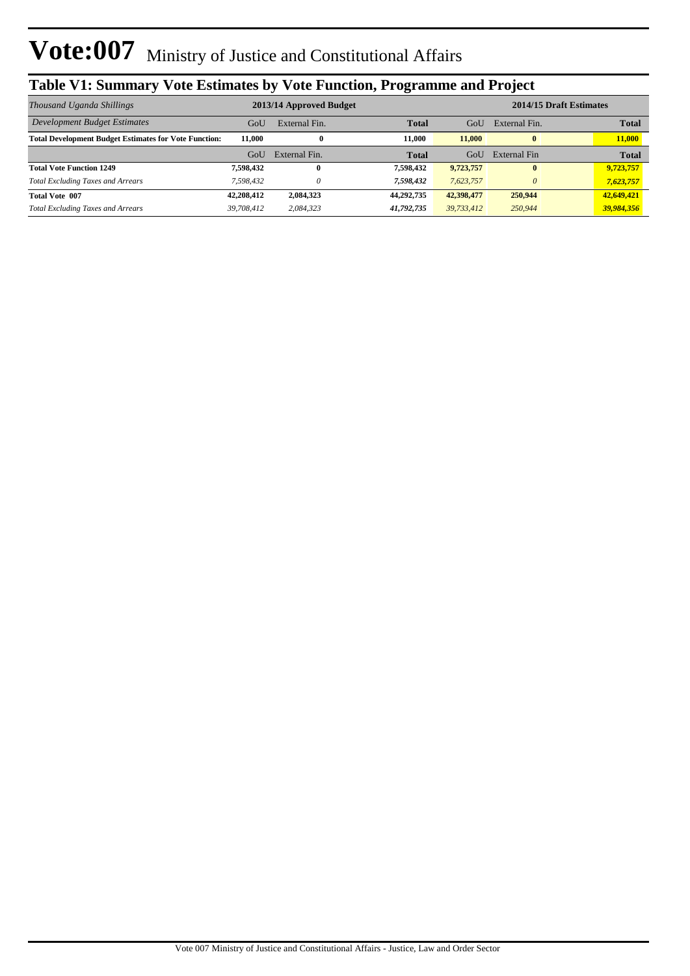## **Table V1: Summary Vote Estimates by Vote Function, Programme and Project**

| Thousand Uganda Shillings                                    |            | 2013/14 Approved Budget |              |            | 2014/15 Draft Estimates |  |              |
|--------------------------------------------------------------|------------|-------------------------|--------------|------------|-------------------------|--|--------------|
| Development Budget Estimates                                 | GoU        | External Fin.           | <b>Total</b> | GoU        | External Fin.           |  | <b>Total</b> |
| <b>Total Development Budget Estimates for Vote Function:</b> | 11.000     | 0                       | 11.000       | 11.000     | $\mathbf{0}$            |  | 11,000       |
|                                                              | GoU        | External Fin.           | Total        | GoU        | External Fin            |  | <b>Total</b> |
| <b>Total Vote Function 1249</b>                              | 7,598,432  |                         | 7,598,432    | 9,723,757  | $\mathbf{0}$            |  | 9,723,757    |
| <b>Total Excluding Taxes and Arrears</b>                     | 7.598.432  |                         | 7,598,432    | 7,623,757  | 0                       |  | 7,623,757    |
| <b>Total Vote 007</b>                                        | 42,208,412 | 2,084,323               | 44,292,735   | 42,398,477 | 250,944                 |  | 42,649,421   |
| <b>Total Excluding Taxes and Arrears</b>                     | 39,708,412 | 2,084,323               | 41,792,735   | 39,733,412 | 250,944                 |  | 39,984,356   |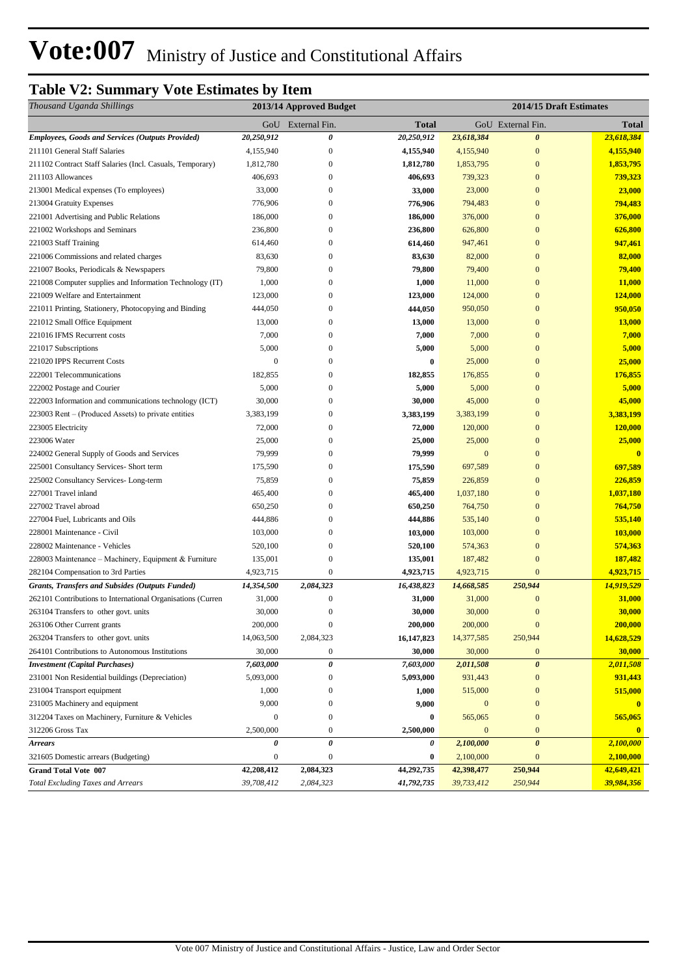## **Table V2: Summary Vote Estimates by Item**

| Thousand Uganda Shillings                                   |                  | 2013/14 Approved Budget |              |              | 2014/15 Draft Estimates |              |
|-------------------------------------------------------------|------------------|-------------------------|--------------|--------------|-------------------------|--------------|
|                                                             |                  | GoU External Fin.       | <b>Total</b> |              | GoU External Fin.       | <b>Total</b> |
| <b>Employees, Goods and Services (Outputs Provided)</b>     | 20,250,912       | 0                       | 20,250,912   | 23,618,384   | $\boldsymbol{\theta}$   | 23,618,384   |
| 211101 General Staff Salaries                               | 4,155,940        | $\boldsymbol{0}$        | 4,155,940    | 4,155,940    | $\bf{0}$                | 4,155,940    |
| 211102 Contract Staff Salaries (Incl. Casuals, Temporary)   | 1,812,780        | $\boldsymbol{0}$        | 1,812,780    | 1,853,795    | $\mathbf{0}$            | 1,853,795    |
| 211103 Allowances                                           | 406,693          | $\mathbf{0}$            | 406,693      | 739,323      | $\mathbf{0}$            | 739,323      |
| 213001 Medical expenses (To employees)                      | 33,000           | $\boldsymbol{0}$        | 33,000       | 23,000       | $\mathbf{0}$            | 23,000       |
| 213004 Gratuity Expenses                                    | 776,906          | $\boldsymbol{0}$        | 776,906      | 794,483      | $\mathbf{0}$            | 794,483      |
| 221001 Advertising and Public Relations                     | 186,000          | 0                       | 186,000      | 376,000      | $\mathbf{0}$            | 376,000      |
| 221002 Workshops and Seminars                               | 236,800          | 0                       | 236,800      | 626,800      | $\mathbf{0}$            | 626,800      |
| 221003 Staff Training                                       | 614,460          | $\overline{0}$          | 614,460      | 947,461      | $\mathbf{0}$            | 947,461      |
| 221006 Commissions and related charges                      | 83,630           | $\boldsymbol{0}$        | 83,630       | 82,000       | $\mathbf{0}$            | 82,000       |
| 221007 Books, Periodicals & Newspapers                      | 79,800           | $\mathbf{0}$            | 79,800       | 79,400       | $\mathbf{0}$            | 79,400       |
| 221008 Computer supplies and Information Technology (IT)    | 1,000            | $\mathbf{0}$            | 1,000        | 11,000       | $\mathbf{0}$            | 11,000       |
| 221009 Welfare and Entertainment                            | 123,000          | $\mathbf{0}$            | 123,000      | 124,000      | $\mathbf{0}$            | 124,000      |
| 221011 Printing, Stationery, Photocopying and Binding       | 444,050          | $\boldsymbol{0}$        | 444,050      | 950,050      | $\mathbf{0}$            | 950,050      |
| 221012 Small Office Equipment                               | 13,000           | $\boldsymbol{0}$        | 13,000       | 13,000       | $\mathbf{0}$            | 13,000       |
| 221016 IFMS Recurrent costs                                 | 7,000            | 0                       | 7,000        | 7,000        | $\mathbf{0}$            | 7,000        |
| 221017 Subscriptions                                        | 5,000            | 0                       | 5,000        | 5,000        | $\mathbf{0}$            | 5,000        |
| 221020 IPPS Recurrent Costs                                 | $\boldsymbol{0}$ | $\overline{0}$          | $\bf{0}$     | 25,000       | $\mathbf{0}$            | 25,000       |
| 222001 Telecommunications                                   | 182,855          | $\overline{0}$          | 182,855      | 176,855      | $\overline{0}$          | 176,855      |
| 222002 Postage and Courier                                  | 5,000            | $\boldsymbol{0}$        | 5,000        | 5,000        | $\mathbf{0}$            | 5,000        |
| 222003 Information and communications technology (ICT)      | 30,000           | $\overline{0}$          | 30,000       | 45,000       | $\overline{0}$          | 45,000       |
| 223003 Rent – (Produced Assets) to private entities         | 3,383,199        | 0                       | 3,383,199    | 3,383,199    | $\mathbf{0}$            | 3,383,199    |
| 223005 Electricity                                          | 72,000           | $\overline{0}$          | 72,000       | 120,000      | $\mathbf{0}$            | 120,000      |
| 223006 Water                                                | 25,000           | 0                       | 25,000       | 25,000       | $\mathbf{0}$            | 25,000       |
| 224002 General Supply of Goods and Services                 | 79,999           | 0                       | 79,999       | $\mathbf{0}$ | $\mathbf{0}$            |              |
| 225001 Consultancy Services- Short term                     | 175,590          | 0                       | 175,590      | 697,589      | $\mathbf{0}$            | 697,589      |
| 225002 Consultancy Services-Long-term                       | 75,859           | 0                       | 75,859       | 226,859      | $\mathbf{0}$            | 226,859      |
| 227001 Travel inland                                        | 465,400          | $\overline{0}$          | 465,400      | 1,037,180    | $\overline{0}$          | 1,037,180    |
| 227002 Travel abroad                                        | 650,250          | 0                       | 650,250      | 764,750      | $\mathbf{0}$            | 764,750      |
| 227004 Fuel, Lubricants and Oils                            | 444,886          | 0                       | 444,886      | 535,140      | $\overline{0}$          | 535,140      |
| 228001 Maintenance - Civil                                  | 103,000          | $\boldsymbol{0}$        | 103,000      | 103,000      | $\mathbf{0}$            | 103,000      |
| 228002 Maintenance - Vehicles                               | 520,100          | $\boldsymbol{0}$        | 520,100      | 574,363      | $\mathbf{0}$            | 574,363      |
| 228003 Maintenance - Machinery, Equipment & Furniture       | 135,001          | $\boldsymbol{0}$        | 135,001      | 187,482      | $\mathbf{0}$            | 187,482      |
| 282104 Compensation to 3rd Parties                          | 4,923,715        | $\boldsymbol{0}$        | 4,923,715    | 4,923,715    | $\mathbf{0}$            | 4,923,715    |
| <b>Grants, Transfers and Subsides (Outputs Funded)</b>      | 14,354,500       | 2,084,323               | 16,438,823   | 14,668,585   | 250,944                 | 14,919,529   |
| 262101 Contributions to International Organisations (Curren | 31,000           | $\boldsymbol{0}$        | 31,000       | 31,000       | $\overline{0}$          | 31,000       |
| 263104 Transfers to other govt. units                       | 30,000           | $\boldsymbol{0}$        | 30,000       | 30,000       | $\mathbf{0}$            | 30,000       |
| 263106 Other Current grants                                 | 200,000          | $\boldsymbol{0}$        | 200,000      | 200,000      | $\bf{0}$                | 200,000      |
| 263204 Transfers to other govt. units                       | 14,063,500       | 2,084,323               | 16, 147, 823 | 14,377,585   | 250,944                 | 14,628,529   |
| 264101 Contributions to Autonomous Institutions             | 30,000           | $\boldsymbol{0}$        | 30,000       | 30,000       | $\boldsymbol{0}$        | 30,000       |
| <b>Investment</b> (Capital Purchases)                       | 7,603,000        | 0                       | 7,603,000    | 2,011,508    | $\boldsymbol{\theta}$   | 2,011,508    |
| 231001 Non Residential buildings (Depreciation)             | 5,093,000        | $\boldsymbol{0}$        | 5,093,000    | 931,443      | $\boldsymbol{0}$        | 931,443      |
| 231004 Transport equipment                                  | 1,000            | $\boldsymbol{0}$        | 1,000        | 515,000      | $\boldsymbol{0}$        | 515,000      |
| 231005 Machinery and equipment                              | 9,000            | $\boldsymbol{0}$        | 9,000        | $\mathbf{0}$ | $\boldsymbol{0}$        |              |
| 312204 Taxes on Machinery, Furniture & Vehicles             | $\mathbf{0}$     | $\boldsymbol{0}$        | $\bf{0}$     | 565,065      | $\boldsymbol{0}$        | 565,065      |
| 312206 Gross Tax                                            | 2,500,000        | $\boldsymbol{0}$        | 2,500,000    | $\mathbf{0}$ | $\mathbf{0}$            | $\mathbf{0}$ |
| <b>Arrears</b>                                              | 0                | $\boldsymbol{\theta}$   | 0            | 2,100,000    | $\boldsymbol{\theta}$   | 2,100,000    |
| 321605 Domestic arrears (Budgeting)                         | $\boldsymbol{0}$ | $\boldsymbol{0}$        | $\bf{0}$     | 2,100,000    | $\boldsymbol{0}$        | 2,100,000    |
| <b>Grand Total Vote 007</b>                                 | 42,208,412       | 2,084,323               | 44,292,735   | 42,398,477   | 250,944                 | 42,649,421   |
| <b>Total Excluding Taxes and Arrears</b>                    | 39,708,412       | 2,084,323               | 41,792,735   | 39,733,412   | 250,944                 | 39,984,356   |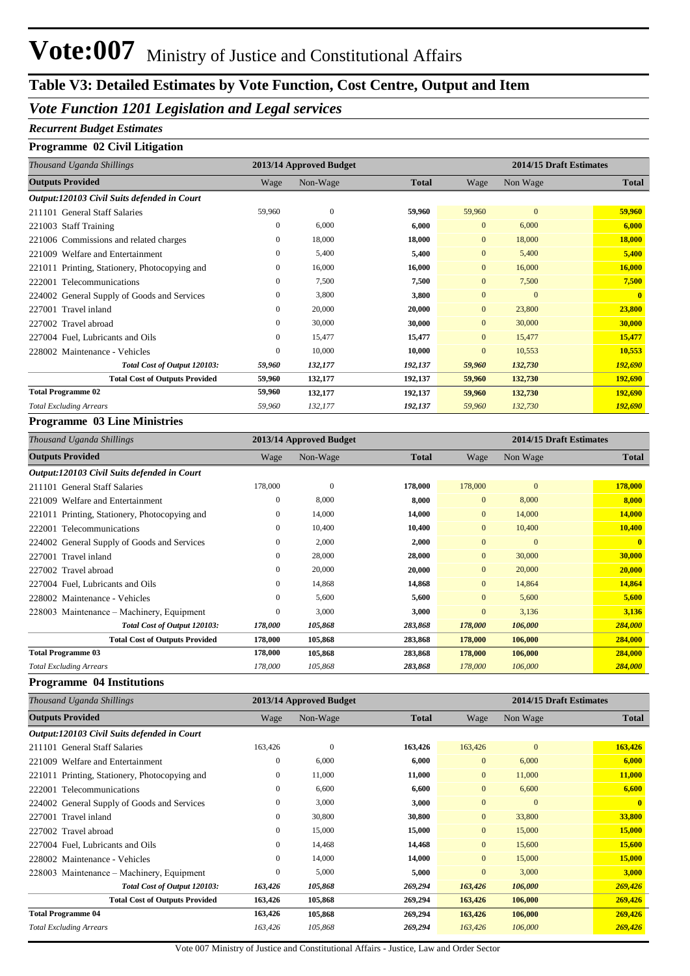## **Table V3: Detailed Estimates by Vote Function, Cost Centre, Output and Item**

## *Vote Function 1201 Legislation and Legal services*

#### *Recurrent Budget Estimates*

#### **Programme 02 Civil Litigation**

| Thousand Uganda Shillings                     |              | 2013/14 Approved Budget |              | 2014/15 Draft Estimates |              |              |
|-----------------------------------------------|--------------|-------------------------|--------------|-------------------------|--------------|--------------|
| <b>Outputs Provided</b>                       | Wage         | Non-Wage                | <b>Total</b> | Wage                    | Non Wage     | <b>Total</b> |
| Output:120103 Civil Suits defended in Court   |              |                         |              |                         |              |              |
| 211101 General Staff Salaries                 | 59,960       | $\boldsymbol{0}$        | 59,960       | 59,960                  | $\mathbf{0}$ | 59,960       |
| 221003 Staff Training                         | $\mathbf{0}$ | 6,000                   | 6,000        | $\mathbf{0}$            | 6,000        | 6,000        |
| 221006 Commissions and related charges        | $\mathbf{0}$ | 18,000                  | 18,000       | $\overline{0}$          | 18,000       | 18,000       |
| 221009 Welfare and Entertainment              | 0            | 5,400                   | 5,400        | $\overline{0}$          | 5,400        | 5,400        |
| 221011 Printing, Stationery, Photocopying and | $\mathbf{0}$ | 16,000                  | 16,000       | $\overline{0}$          | 16,000       | 16,000       |
| 222001 Telecommunications                     | 0            | 7,500                   | 7,500        | $\overline{0}$          | 7,500        | 7,500        |
| 224002 General Supply of Goods and Services   | $\mathbf{0}$ | 3,800                   | 3,800        | $\overline{0}$          | $\mathbf{0}$ | $\mathbf{0}$ |
| 227001 Travel inland                          | $\mathbf{0}$ | 20,000                  | 20,000       | $\overline{0}$          | 23,800       | 23,800       |
| 227002 Travel abroad                          | $\mathbf{0}$ | 30,000                  | 30,000       | $\overline{0}$          | 30,000       | 30,000       |
| 227004 Fuel, Lubricants and Oils              | $\mathbf{0}$ | 15,477                  | 15,477       | $\overline{0}$          | 15,477       | 15,477       |
| 228002 Maintenance - Vehicles                 | $\Omega$     | 10,000                  | 10,000       | $\overline{0}$          | 10,553       | 10,553       |
| Total Cost of Output 120103:                  | 59,960       | 132,177                 | 192,137      | 59,960                  | 132,730      | 192,690      |
| <b>Total Cost of Outputs Provided</b>         | 59,960       | 132,177                 | 192,137      | 59,960                  | 132,730      | 192,690      |
| <b>Total Programme 02</b>                     | 59,960       | 132,177                 | 192,137      | 59,960                  | 132,730      | 192,690      |
| <b>Total Excluding Arrears</b>                | 59,960       | 132,177                 | 192,137      | 59,960                  | 132,730      | 192,690      |

#### **Programme 03 Line Ministries**

| Thousand Uganda Shillings                     |              | 2013/14 Approved Budget |              | 2014/15 Draft Estimates |              |              |
|-----------------------------------------------|--------------|-------------------------|--------------|-------------------------|--------------|--------------|
| <b>Outputs Provided</b>                       | Wage         | Non-Wage                | <b>Total</b> | Wage                    | Non Wage     | <b>Total</b> |
| Output:120103 Civil Suits defended in Court   |              |                         |              |                         |              |              |
| 211101 General Staff Salaries                 | 178,000      | $\overline{0}$          | 178,000      | 178,000                 | $\mathbf{0}$ | 178,000      |
| 221009 Welfare and Entertainment              | $\mathbf{0}$ | 8,000                   | 8,000        | $\overline{0}$          | 8,000        | 8,000        |
| 221011 Printing, Stationery, Photocopying and | $\mathbf{0}$ | 14,000                  | 14,000       | $\mathbf{0}$            | 14,000       | 14,000       |
| 222001 Telecommunications                     | $\mathbf{0}$ | 10,400                  | 10,400       | $\overline{0}$          | 10,400       | 10,400       |
| 224002 General Supply of Goods and Services   | $\mathbf{0}$ | 2,000                   | 2,000        | $\overline{0}$          | $\mathbf{0}$ | $\mathbf{0}$ |
| 227001 Travel inland                          | $\mathbf{0}$ | 28,000                  | 28,000       | $\overline{0}$          | 30,000       | 30,000       |
| 227002 Travel abroad                          | $\Omega$     | 20,000                  | 20,000       | $\Omega$                | 20,000       | 20,000       |
| 227004 Fuel, Lubricants and Oils              | $\mathbf{0}$ | 14,868                  | 14,868       | $\overline{0}$          | 14,864       | 14,864       |
| 228002 Maintenance - Vehicles                 | $\mathbf{0}$ | 5,600                   | 5,600        | $\overline{0}$          | 5,600        | 5,600        |
| 228003 Maintenance – Machinery, Equipment     | $\mathbf{0}$ | 3,000                   | 3,000        | $\overline{0}$          | 3,136        | 3,136        |
| Total Cost of Output 120103:                  | 178,000      | 105,868                 | 283,868      | 178,000                 | 106,000      | 284,000      |
| <b>Total Cost of Outputs Provided</b>         | 178,000      | 105,868                 | 283,868      | 178,000                 | 106,000      | 284,000      |
| <b>Total Programme 03</b>                     | 178,000      | 105,868                 | 283,868      | 178,000                 | 106,000      | 284,000      |
| <b>Total Excluding Arrears</b>                | 178,000      | 105,868                 | 283,868      | 178,000                 | 106,000      | 284,000      |

#### **Programme 04 Institutions**

| Thousand Uganda Shillings                     |                  | 2013/14 Approved Budget |              |                | 2014/15 Draft Estimates |                         |
|-----------------------------------------------|------------------|-------------------------|--------------|----------------|-------------------------|-------------------------|
| <b>Outputs Provided</b>                       | Wage             | Non-Wage                | <b>Total</b> | Wage           | Non Wage                | <b>Total</b>            |
| Output:120103 Civil Suits defended in Court   |                  |                         |              |                |                         |                         |
| 211101 General Staff Salaries                 | 163,426          | $\mathbf{0}$            | 163,426      | 163,426        | $\mathbf{0}$            | 163,426                 |
| 221009 Welfare and Entertainment              | $\mathbf{0}$     | 6,000                   | 6,000        | $\mathbf{0}$   | 6,000                   | 6,000                   |
| 221011 Printing, Stationery, Photocopying and | $\boldsymbol{0}$ | 11,000                  | 11,000       | $\mathbf{0}$   | 11,000                  | 11,000                  |
| 222001 Telecommunications                     | $\boldsymbol{0}$ | 6,600                   | 6,600        | $\mathbf{0}$   | 6,600                   | 6,600                   |
| 224002 General Supply of Goods and Services   | $\boldsymbol{0}$ | 3,000                   | 3,000        | $\mathbf{0}$   | $\mathbf{0}$            | $\overline{\mathbf{0}}$ |
| 227001 Travel inland                          | $\mathbf{0}$     | 30,800                  | 30,800       | $\overline{0}$ | 33,800                  | 33,800                  |
| 227002 Travel abroad                          | $\mathbf{0}$     | 15,000                  | 15,000       | $\overline{0}$ | 15,000                  | 15,000                  |
| 227004 Fuel, Lubricants and Oils              | $\mathbf{0}$     | 14,468                  | 14,468       | $\Omega$       | 15,600                  | 15,600                  |
| 228002 Maintenance - Vehicles                 | $\mathbf{0}$     | 14,000                  | 14,000       | $\overline{0}$ | 15,000                  | 15,000                  |
| 228003 Maintenance – Machinery, Equipment     | $\boldsymbol{0}$ | 5,000                   | 5,000        | $\overline{0}$ | 3,000                   | 3,000                   |
| Total Cost of Output 120103:                  | 163,426          | 105,868                 | 269,294      | 163,426        | 106,000                 | 269,426                 |
| <b>Total Cost of Outputs Provided</b>         | 163,426          | 105,868                 | 269,294      | 163,426        | 106,000                 | 269,426                 |
| <b>Total Programme 04</b>                     | 163,426          | 105,868                 | 269,294      | 163,426        | 106,000                 | 269,426                 |
| <b>Total Excluding Arrears</b>                | 163,426          | 105,868                 | 269,294      | 163,426        | 106,000                 | 269,426                 |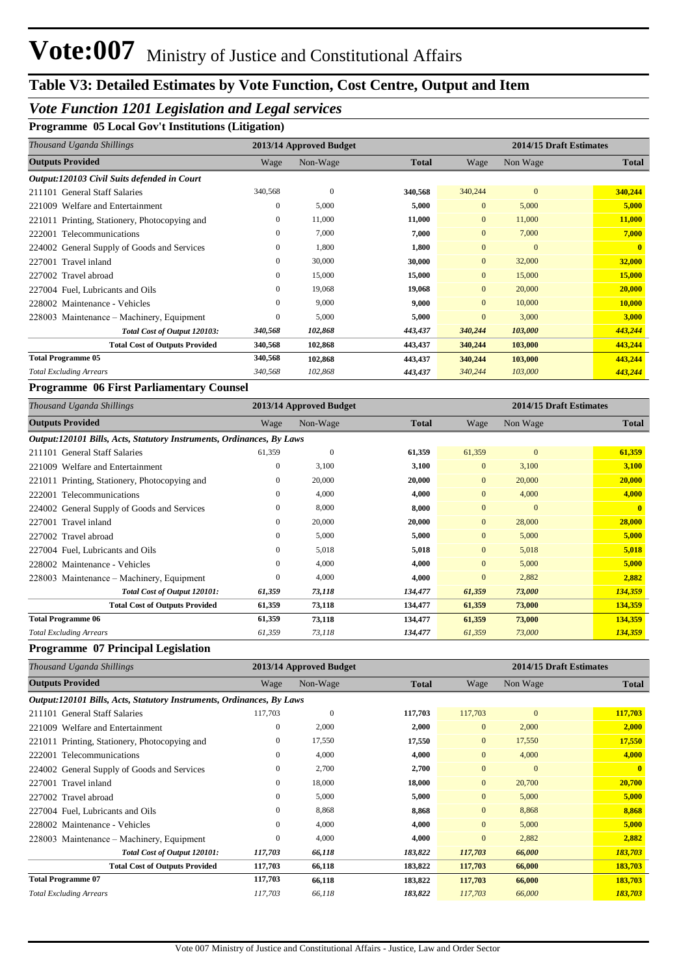## **Table V3: Detailed Estimates by Vote Function, Cost Centre, Output and Item**

## *Vote Function 1201 Legislation and Legal services*

**Programme 05 Local Gov't Institutions (Litigation)**

| Thousand Uganda Shillings                     |              | 2013/14 Approved Budget |              |                | 2014/15 Draft Estimates |              |  |
|-----------------------------------------------|--------------|-------------------------|--------------|----------------|-------------------------|--------------|--|
| <b>Outputs Provided</b>                       | Wage         | Non-Wage                | <b>Total</b> | Wage           | Non Wage                | <b>Total</b> |  |
| Output:120103 Civil Suits defended in Court   |              |                         |              |                |                         |              |  |
| 211101 General Staff Salaries                 | 340,568      | $\overline{0}$          | 340,568      | 340,244        | $\mathbf{0}$            | 340,244      |  |
| Welfare and Entertainment<br>221009           | $\mathbf{0}$ | 5,000                   | 5,000        | $\overline{0}$ | 5,000                   | 5,000        |  |
| 221011 Printing, Stationery, Photocopying and | $\mathbf{0}$ | 11,000                  | 11,000       | $\overline{0}$ | 11,000                  | 11,000       |  |
| 222001 Telecommunications                     | $\mathbf{0}$ | 7,000                   | 7,000        | $\overline{0}$ | 7,000                   | 7,000        |  |
| 224002 General Supply of Goods and Services   | $\mathbf{0}$ | 1,800                   | 1,800        | $\overline{0}$ | $\mathbf{0}$            | $\mathbf{0}$ |  |
| 227001 Travel inland                          | $\mathbf{0}$ | 30,000                  | 30,000       | $\overline{0}$ | 32,000                  | 32,000       |  |
| 227002 Travel abroad                          | $\mathbf{0}$ | 15,000                  | 15,000       | $\overline{0}$ | 15,000                  | 15,000       |  |
| 227004 Fuel, Lubricants and Oils              | $\Omega$     | 19,068                  | 19,068       | $\Omega$       | 20,000                  | 20,000       |  |
| 228002 Maintenance - Vehicles                 | $\mathbf{0}$ | 9,000                   | 9,000        | $\overline{0}$ | 10,000                  | 10,000       |  |
| 228003 Maintenance – Machinery, Equipment     | $\theta$     | 5,000                   | 5,000        | $\overline{0}$ | 3,000                   | 3,000        |  |
| Total Cost of Output 120103:                  | 340,568      | 102,868                 | 443,437      | 340,244        | 103,000                 | 443,244      |  |
| <b>Total Cost of Outputs Provided</b>         | 340,568      | 102,868                 | 443,437      | 340,244        | 103,000                 | 443,244      |  |
| <b>Total Programme 05</b>                     | 340,568      | 102,868                 | 443,437      | 340,244        | 103,000                 | 443,244      |  |
| <b>Total Excluding Arrears</b>                | 340,568      | 102,868                 | 443,437      | 340,244        | 103,000                 | 443,244      |  |

#### **Programme 06 First Parliamentary Counsel**

| Thousand Uganda Shillings                                             |              | 2013/14 Approved Budget |              | 2014/15 Draft Estimates |              |              |
|-----------------------------------------------------------------------|--------------|-------------------------|--------------|-------------------------|--------------|--------------|
| <b>Outputs Provided</b>                                               | Wage         | Non-Wage                | <b>Total</b> | Wage                    | Non Wage     | <b>Total</b> |
| Output:120101 Bills, Acts, Statutory Instruments, Ordinances, By Laws |              |                         |              |                         |              |              |
| 211101 General Staff Salaries                                         | 61,359       | $\mathbf{0}$            | 61,359       | 61,359                  | $\Omega$     | 61,359       |
| 221009 Welfare and Entertainment                                      | $\Omega$     | 3,100                   | 3,100        | $\overline{0}$          | 3,100        | 3,100        |
| 221011 Printing, Stationery, Photocopying and                         | 0            | 20,000                  | 20,000       | $\overline{0}$          | 20,000       | 20,000       |
| 222001 Telecommunications                                             | $\mathbf{0}$ | 4,000                   | 4,000        | $\overline{0}$          | 4,000        | 4,000        |
| 224002 General Supply of Goods and Services                           | $\Omega$     | 8,000                   | 8,000        | $\mathbf{0}$            | $\mathbf{0}$ | $\mathbf{0}$ |
| 227001 Travel inland                                                  | $\Omega$     | 20,000                  | 20,000       | $\overline{0}$          | 28,000       | 28,000       |
| 227002 Travel abroad                                                  | $\mathbf{0}$ | 5,000                   | 5,000        | $\overline{0}$          | 5,000        | 5,000        |
| 227004 Fuel, Lubricants and Oils                                      | $\mathbf{0}$ | 5,018                   | 5,018        | $\overline{0}$          | 5,018        | 5,018        |
| 228002 Maintenance - Vehicles                                         | 0            | 4,000                   | 4,000        | $\overline{0}$          | 5,000        | 5,000        |
| 228003 Maintenance – Machinery, Equipment                             | $\mathbf{0}$ | 4,000                   | 4,000        | $\overline{0}$          | 2,882        | 2,882        |
| Total Cost of Output 120101:                                          | 61,359       | 73,118                  | 134,477      | 61,359                  | 73,000       | 134,359      |
| <b>Total Cost of Outputs Provided</b>                                 | 61,359       | 73,118                  | 134,477      | 61,359                  | 73,000       | 134,359      |
| <b>Total Programme 06</b>                                             | 61,359       | 73,118                  | 134,477      | 61,359                  | 73,000       | 134,359      |
| <b>Total Excluding Arrears</b>                                        | 61,359       | 73,118                  | 134,477      | 61,359                  | 73,000       | 134,359      |

#### **Programme 07 Principal Legislation**

| Thousand Uganda Shillings                                             |                  | 2013/14 Approved Budget |              |                | 2014/15 Draft Estimates |              |  |
|-----------------------------------------------------------------------|------------------|-------------------------|--------------|----------------|-------------------------|--------------|--|
| <b>Outputs Provided</b>                                               | Wage             | Non-Wage                | <b>Total</b> | Wage           | Non Wage                | <b>Total</b> |  |
| Output:120101 Bills, Acts, Statutory Instruments, Ordinances, By Laws |                  |                         |              |                |                         |              |  |
| 211101 General Staff Salaries                                         | 117,703          | $\mathbf{0}$            | 117,703      | 117,703        | $\mathbf{0}$            | 117,703      |  |
| 221009 Welfare and Entertainment                                      | $\mathbf{0}$     | 2,000                   | 2,000        | $\overline{0}$ | 2,000                   | 2,000        |  |
| 221011 Printing, Stationery, Photocopying and                         | $\mathbf{0}$     | 17,550                  | 17,550       | $\overline{0}$ | 17,550                  | 17,550       |  |
| 222001 Telecommunications                                             | $\mathbf{0}$     | 4,000                   | 4,000        | $\overline{0}$ | 4,000                   | 4,000        |  |
| 224002 General Supply of Goods and Services                           | $\mathbf{0}$     | 2,700                   | 2,700        | $\overline{0}$ | $\mathbf{0}$            | $\mathbf{0}$ |  |
| 227001 Travel inland                                                  | $\mathbf{0}$     | 18,000                  | 18,000       | $\overline{0}$ | 20,700                  | 20,700       |  |
| 227002 Travel abroad                                                  | $\mathbf{0}$     | 5,000                   | 5,000        | $\overline{0}$ | 5,000                   | 5,000        |  |
| 227004 Fuel, Lubricants and Oils                                      | $\mathbf{0}$     | 8,868                   | 8,868        | $\overline{0}$ | 8,868                   | 8,868        |  |
| 228002 Maintenance - Vehicles                                         | $\mathbf{0}$     | 4,000                   | 4,000        | $\overline{0}$ | 5,000                   | 5,000        |  |
| 228003 Maintenance – Machinery, Equipment                             | $\boldsymbol{0}$ | 4,000                   | 4,000        | $\mathbf{0}$   | 2,882                   | 2,882        |  |
| Total Cost of Output 120101:                                          | 117,703          | 66,118                  | 183,822      | 117,703        | 66,000                  | 183,703      |  |
| <b>Total Cost of Outputs Provided</b>                                 | 117,703          | 66,118                  | 183,822      | 117,703        | 66,000                  | 183,703      |  |
| <b>Total Programme 07</b>                                             | 117,703          | 66,118                  | 183,822      | 117,703        | 66,000                  | 183,703      |  |
| <b>Total Excluding Arrears</b>                                        | 117,703          | 66,118                  | 183,822      | 117,703        | 66,000                  | 183,703      |  |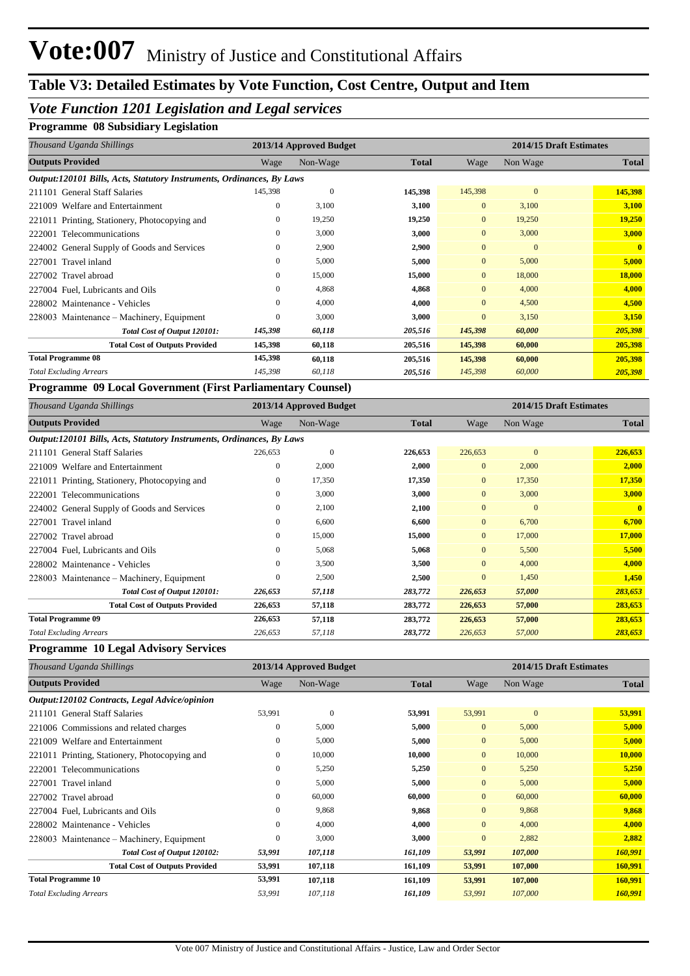## **Table V3: Detailed Estimates by Vote Function, Cost Centre, Output and Item**

## *Vote Function 1201 Legislation and Legal services*

**Programme 08 Subsidiary Legislation**

| Thousand Uganda Shillings                                             |              | 2013/14 Approved Budget |              |                | 2014/15 Draft Estimates |              |
|-----------------------------------------------------------------------|--------------|-------------------------|--------------|----------------|-------------------------|--------------|
| <b>Outputs Provided</b>                                               | Wage         | Non-Wage                | <b>Total</b> | Wage           | Non Wage                | <b>Total</b> |
| Output:120101 Bills, Acts, Statutory Instruments, Ordinances, By Laws |              |                         |              |                |                         |              |
| 211101 General Staff Salaries                                         | 145,398      | $\theta$                | 145,398      | 145,398        | $\mathbf{0}$            | 145,398      |
| 221009 Welfare and Entertainment                                      | $\mathbf{0}$ | 3,100                   | 3,100        | $\overline{0}$ | 3,100                   | 3,100        |
| 221011 Printing, Stationery, Photocopying and                         | $\mathbf{0}$ | 19,250                  | 19,250       | $\mathbf{0}$   | 19,250                  | 19,250       |
| 222001 Telecommunications                                             | $\mathbf{0}$ | 3,000                   | 3,000        | $\overline{0}$ | 3,000                   | 3,000        |
| 224002 General Supply of Goods and Services                           | $\mathbf{0}$ | 2,900                   | 2,900        | $\overline{0}$ | $\mathbf{0}$            | $\mathbf{0}$ |
| 227001 Travel inland                                                  | $\mathbf{0}$ | 5,000                   | 5,000        | $\overline{0}$ | 5,000                   | 5,000        |
| 227002 Travel abroad                                                  | $\mathbf{0}$ | 15,000                  | 15,000       | $\overline{0}$ | 18,000                  | 18,000       |
| 227004 Fuel, Lubricants and Oils                                      | $\mathbf{0}$ | 4,868                   | 4,868        | $\overline{0}$ | 4,000                   | 4,000        |
| 228002 Maintenance - Vehicles                                         | $\mathbf{0}$ | 4,000                   | 4,000        | $\overline{0}$ | 4,500                   | 4,500        |
| 228003 Maintenance – Machinery, Equipment                             | $\theta$     | 3,000                   | 3,000        | $\overline{0}$ | 3,150                   | 3,150        |
| Total Cost of Output 120101:                                          | 145,398      | 60,118                  | 205,516      | 145,398        | 60,000                  | 205,398      |
| <b>Total Cost of Outputs Provided</b>                                 | 145,398      | 60,118                  | 205,516      | 145,398        | 60,000                  | 205,398      |
| <b>Total Programme 08</b>                                             | 145,398      | 60,118                  | 205,516      | 145,398        | 60,000                  | 205,398      |
| <b>Total Excluding Arrears</b>                                        | 145,398      | 60,118                  | 205,516      | 145,398        | 60,000                  | 205,398      |

#### **Programme 09 Local Government (First Parliamentary Counsel)**

| Thousand Uganda Shillings                                             |              | 2013/14 Approved Budget |              | 2014/15 Draft Estimates |              |              |
|-----------------------------------------------------------------------|--------------|-------------------------|--------------|-------------------------|--------------|--------------|
| <b>Outputs Provided</b>                                               | Wage         | Non-Wage                | <b>Total</b> | Wage                    | Non Wage     | <b>Total</b> |
| Output:120101 Bills, Acts, Statutory Instruments, Ordinances, By Laws |              |                         |              |                         |              |              |
| 211101 General Staff Salaries                                         | 226,653      | $\mathbf{0}$            | 226,653      | 226,653                 | $\Omega$     | 226,653      |
| 221009 Welfare and Entertainment                                      | 0            | 2,000                   | 2,000        | $\mathbf{0}$            | 2,000        | 2,000        |
| 221011 Printing, Stationery, Photocopying and                         | 0            | 17,350                  | 17,350       | $\mathbf{0}$            | 17,350       | 17,350       |
| 222001 Telecommunications                                             | 0            | 3,000                   | 3,000        | $\mathbf{0}$            | 3,000        | 3,000        |
| 224002 General Supply of Goods and Services                           | 0            | 2,100                   | 2,100        | $\mathbf{0}$            | $\mathbf{0}$ | $\mathbf{0}$ |
| 227001 Travel inland                                                  | 0            | 6,600                   | 6,600        | $\mathbf{0}$            | 6,700        | 6,700        |
| 227002 Travel abroad                                                  | $\mathbf{0}$ | 15,000                  | 15,000       | $\mathbf{0}$            | 17,000       | 17,000       |
| 227004 Fuel, Lubricants and Oils                                      | $\Omega$     | 5,068                   | 5,068        | $\mathbf{0}$            | 5,500        | 5,500        |
| 228002 Maintenance - Vehicles                                         | 0            | 3,500                   | 3,500        | $\mathbf{0}$            | 4,000        | 4,000        |
| 228003 Maintenance – Machinery, Equipment                             | 0            | 2,500                   | 2,500        | $\mathbf{0}$            | 1,450        | 1,450        |
| Total Cost of Output 120101:                                          | 226,653      | 57,118                  | 283,772      | 226,653                 | 57,000       | 283,653      |
| <b>Total Cost of Outputs Provided</b>                                 | 226,653      | 57,118                  | 283,772      | 226,653                 | 57,000       | 283,653      |
| <b>Total Programme 09</b>                                             | 226,653      | 57,118                  | 283,772      | 226,653                 | 57,000       | 283,653      |
| <b>Total Excluding Arrears</b>                                        | 226,653      | 57,118                  | 283,772      | 226,653                 | 57,000       | 283,653      |

#### **Programme 10 Legal Advisory Services**

| Thousand Uganda Shillings                     |              | 2013/14 Approved Budget |              | 2014/15 Draft Estimates |              |              |
|-----------------------------------------------|--------------|-------------------------|--------------|-------------------------|--------------|--------------|
| <b>Outputs Provided</b>                       | Wage         | Non-Wage                | <b>Total</b> | Wage                    | Non Wage     | <b>Total</b> |
| Output:120102 Contracts, Legal Advice/opinion |              |                         |              |                         |              |              |
| 211101 General Staff Salaries                 | 53,991       | $\mathbf{0}$            | 53,991       | 53,991                  | $\mathbf{0}$ | 53,991       |
| 221006 Commissions and related charges        | $\mathbf{0}$ | 5,000                   | 5,000        | $\overline{0}$          | 5,000        | 5,000        |
| 221009 Welfare and Entertainment              | 0            | 5,000                   | 5,000        | $\overline{0}$          | 5,000        | 5,000        |
| 221011 Printing, Stationery, Photocopying and | 0            | 10,000                  | 10,000       | $\mathbf{0}$            | 10,000       | 10,000       |
| 222001 Telecommunications                     | $\mathbf{0}$ | 5,250                   | 5,250        | $\overline{0}$          | 5,250        | 5,250        |
| 227001 Travel inland                          | $\mathbf{0}$ | 5,000                   | 5,000        | $\overline{0}$          | 5,000        | 5,000        |
| 227002 Travel abroad                          | 0            | 60,000                  | 60,000       | $\overline{0}$          | 60,000       | 60,000       |
| 227004 Fuel, Lubricants and Oils              | $\mathbf{0}$ | 9,868                   | 9,868        | $\overline{0}$          | 9,868        | 9,868        |
| 228002 Maintenance - Vehicles                 | $\mathbf{0}$ | 4,000                   | 4,000        | $\overline{0}$          | 4,000        | 4,000        |
| 228003 Maintenance – Machinery, Equipment     | 0            | 3,000                   | 3,000        | $\overline{0}$          | 2,882        | 2,882        |
| Total Cost of Output 120102:                  | 53,991       | 107,118                 | 161,109      | 53,991                  | 107,000      | 160,991      |
| <b>Total Cost of Outputs Provided</b>         | 53,991       | 107,118                 | 161,109      | 53,991                  | 107,000      | 160,991      |
| <b>Total Programme 10</b>                     | 53,991       | 107,118                 | 161,109      | 53,991                  | 107,000      | 160,991      |
| <b>Total Excluding Arrears</b>                | 53,991       | 107,118                 | 161,109      | 53,991                  | 107,000      | 160,991      |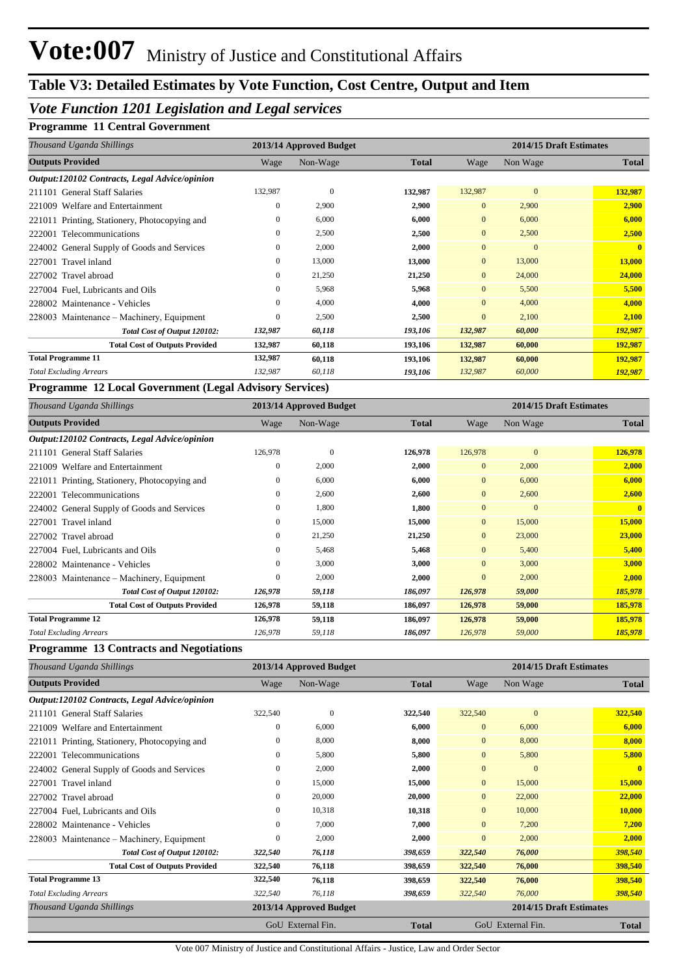## **Table V3: Detailed Estimates by Vote Function, Cost Centre, Output and Item**

## *Vote Function 1201 Legislation and Legal services*

### **Programme 11 Central Government**

| Thousand Uganda Shillings                     |              | 2013/14 Approved Budget |              |                | 2014/15 Draft Estimates |              |  |
|-----------------------------------------------|--------------|-------------------------|--------------|----------------|-------------------------|--------------|--|
| <b>Outputs Provided</b>                       | Wage         | Non-Wage                | <b>Total</b> | Wage           | Non Wage                | <b>Total</b> |  |
| Output:120102 Contracts, Legal Advice/opinion |              |                         |              |                |                         |              |  |
| 211101 General Staff Salaries                 | 132,987      | $\mathbf{0}$            | 132,987      | 132,987        | $\overline{0}$          | 132,987      |  |
| Welfare and Entertainment<br>221009           | $\mathbf{0}$ | 2,900                   | 2,900        | $\overline{0}$ | 2,900                   | 2,900        |  |
| 221011 Printing, Stationery, Photocopying and | $\mathbf{0}$ | 6,000                   | 6,000        | $\overline{0}$ | 6,000                   | 6,000        |  |
| 222001 Telecommunications                     | $\mathbf{0}$ | 2,500                   | 2,500        | $\overline{0}$ | 2,500                   | 2,500        |  |
| 224002 General Supply of Goods and Services   | $\mathbf{0}$ | 2,000                   | 2,000        | $\overline{0}$ | $\mathbf{0}$            | $\mathbf{0}$ |  |
| Travel inland<br>227001                       | $\Omega$     | 13,000                  | 13,000       | $\overline{0}$ | 13,000                  | 13,000       |  |
| 227002 Travel abroad                          | $\mathbf{0}$ | 21,250                  | 21,250       | $\overline{0}$ | 24,000                  | 24,000       |  |
| 227004 Fuel, Lubricants and Oils              | $\Omega$     | 5,968                   | 5,968        | $\Omega$       | 5,500                   | 5,500        |  |
| 228002 Maintenance - Vehicles                 | $\mathbf{0}$ | 4,000                   | 4,000        | $\overline{0}$ | 4,000                   | 4,000        |  |
| 228003 Maintenance – Machinery, Equipment     | $\mathbf{0}$ | 2,500                   | 2,500        | $\overline{0}$ | 2,100                   | 2,100        |  |
| Total Cost of Output 120102:                  | 132,987      | 60,118                  | 193,106      | 132,987        | 60,000                  | 192,987      |  |
| <b>Total Cost of Outputs Provided</b>         | 132,987      | 60,118                  | 193,106      | 132,987        | 60,000                  | 192,987      |  |
| <b>Total Programme 11</b>                     | 132,987      | 60,118                  | 193,106      | 132,987        | 60,000                  | 192,987      |  |
| <b>Total Excluding Arrears</b>                | 132,987      | 60,118                  | 193,106      | 132,987        | 60,000                  | 192,987      |  |

#### **Programme 12 Local Government (Legal Advisory Services)**

| Thousand Uganda Shillings                     |              | 2013/14 Approved Budget |              | 2014/15 Draft Estimates |                |              |
|-----------------------------------------------|--------------|-------------------------|--------------|-------------------------|----------------|--------------|
| <b>Outputs Provided</b>                       | Wage         | Non-Wage                | <b>Total</b> | Wage                    | Non Wage       | <b>Total</b> |
| Output:120102 Contracts, Legal Advice/opinion |              |                         |              |                         |                |              |
| 211101 General Staff Salaries                 | 126,978      | $\mathbf{0}$            | 126,978      | 126,978                 | $\overline{0}$ | 126,978      |
| 221009 Welfare and Entertainment              | 0            | 2,000                   | 2,000        | $\mathbf{0}$            | 2,000          | 2,000        |
| 221011 Printing, Stationery, Photocopying and | 0            | 6,000                   | 6,000        | $\mathbf{0}$            | 6,000          | 6,000        |
| 222001 Telecommunications                     | $\mathbf{0}$ | 2,600                   | 2,600        | $\mathbf{0}$            | 2,600          | 2,600        |
| 224002 General Supply of Goods and Services   | 0            | 1,800                   | 1,800        | $\mathbf{0}$            | $\mathbf{0}$   | $\mathbf{0}$ |
| 227001 Travel inland                          | 0            | 15,000                  | 15,000       | $\mathbf{0}$            | 15,000         | 15,000       |
| 227002 Travel abroad                          | 0            | 21,250                  | 21,250       | $\mathbf{0}$            | 23,000         | 23,000       |
| 227004 Fuel, Lubricants and Oils              | $\Omega$     | 5,468                   | 5,468        | $\mathbf{0}$            | 5,400          | 5,400        |
| 228002 Maintenance - Vehicles                 | 0            | 3,000                   | 3,000        | $\mathbf{0}$            | 3,000          | 3,000        |
| 228003 Maintenance – Machinery, Equipment     | 0            | 2,000                   | 2,000        | $\mathbf{0}$            | 2,000          | 2,000        |
| Total Cost of Output 120102:                  | 126,978      | 59,118                  | 186,097      | 126,978                 | 59,000         | 185,978      |
| <b>Total Cost of Outputs Provided</b>         | 126,978      | 59,118                  | 186,097      | 126,978                 | 59,000         | 185,978      |
| <b>Total Programme 12</b>                     | 126,978      | 59,118                  | 186,097      | 126,978                 | 59,000         | 185,978      |
| <b>Total Excluding Arrears</b>                | 126,978      | 59,118                  | 186,097      | 126,978                 | 59,000         | 185,978      |

#### **Programme 13 Contracts and Negotiations**

| Thousand Uganda Shillings                     |                  | 2013/14 Approved Budget |              | 2014/15 Draft Estimates |                         |              |
|-----------------------------------------------|------------------|-------------------------|--------------|-------------------------|-------------------------|--------------|
| <b>Outputs Provided</b>                       | Wage             | Non-Wage                | <b>Total</b> | Wage                    | Non Wage                | <b>Total</b> |
| Output:120102 Contracts, Legal Advice/opinion |                  |                         |              |                         |                         |              |
| 211101 General Staff Salaries                 | 322,540          | $\overline{0}$          | 322,540      | 322,540                 | $\mathbf{0}$            | 322,540      |
| Welfare and Entertainment<br>221009           | $\mathbf{0}$     | 6.000                   | 6,000        | $\overline{0}$          | 6,000                   | 6,000        |
| 221011 Printing, Stationery, Photocopying and | $\mathbf{0}$     | 8,000                   | 8,000        | $\mathbf{0}$            | 8,000                   | 8,000        |
| Telecommunications<br>222001                  | $\mathbf{0}$     | 5,800                   | 5,800        | $\overline{0}$          | 5,800                   | 5,800        |
| 224002 General Supply of Goods and Services   | $\boldsymbol{0}$ | 2,000                   | 2,000        | $\overline{0}$          | $\mathbf{0}$            | $\mathbf{0}$ |
| 227001 Travel inland                          | $\boldsymbol{0}$ | 15,000                  | 15,000       | $\overline{0}$          | 15,000                  | 15,000       |
| 227002 Travel abroad                          | $\boldsymbol{0}$ | 20,000                  | 20,000       | $\overline{0}$          | 22,000                  | 22,000       |
| 227004 Fuel, Lubricants and Oils              | $\boldsymbol{0}$ | 10,318                  | 10,318       | $\mathbf{0}$            | 10,000                  | 10,000       |
| 228002 Maintenance - Vehicles                 | $\overline{0}$   | 7,000                   | 7,000        | $\mathbf{0}$            | 7,200                   | 7,200        |
| 228003 Maintenance – Machinery, Equipment     | $\mathbf{0}$     | 2,000                   | 2,000        | $\overline{0}$          | 2,000                   | 2,000        |
| Total Cost of Output 120102:                  | 322,540          | 76,118                  | 398,659      | 322,540                 | 76,000                  | 398,540      |
| <b>Total Cost of Outputs Provided</b>         | 322,540          | 76,118                  | 398,659      | 322,540                 | 76,000                  | 398,540      |
| <b>Total Programme 13</b>                     | 322,540          | 76,118                  | 398,659      | 322,540                 | 76,000                  | 398,540      |
| <b>Total Excluding Arrears</b>                | 322,540          | 76,118                  | 398,659      | 322,540                 | 76,000                  | 398,540      |
| Thousand Uganda Shillings                     |                  | 2013/14 Approved Budget |              |                         | 2014/15 Draft Estimates |              |
|                                               |                  | GoU External Fin.       | <b>Total</b> |                         | GoU External Fin.       | <b>Total</b> |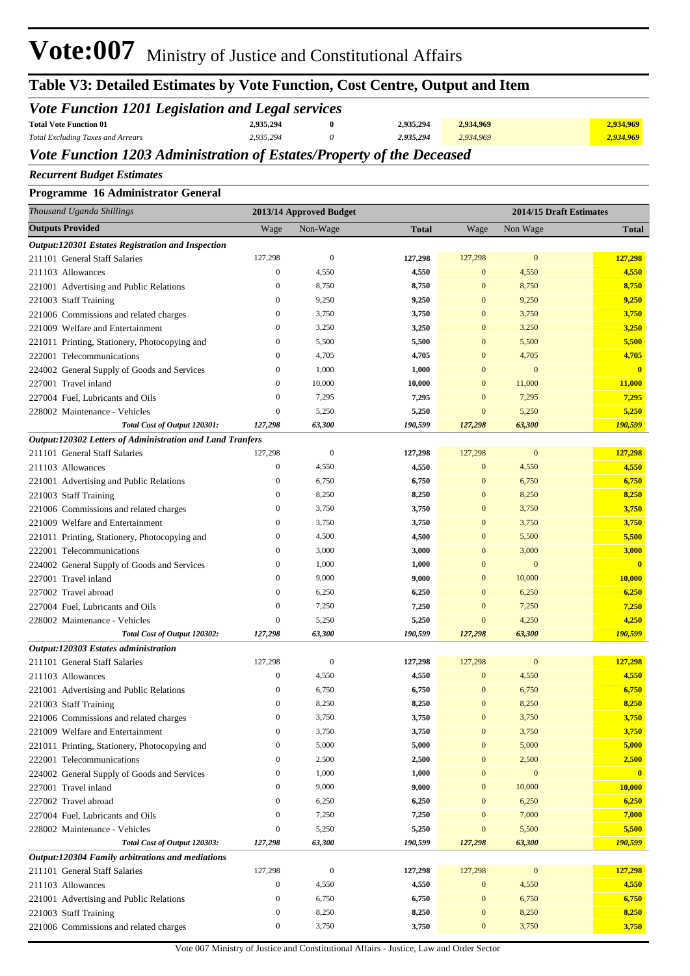## **Table V3: Detailed Estimates by Vote Function, Cost Centre, Output and Item**

| Vote Function 1201 Legislation and Legal services |           |  |           |           |           |  |  |  |  |
|---------------------------------------------------|-----------|--|-----------|-----------|-----------|--|--|--|--|
| <b>Total Vote Function 01</b>                     | 2,935,294 |  | 2,935,294 | 2.934.969 | 2,934,969 |  |  |  |  |
| <b>Total Excluding Taxes and Arrears</b>          | 2.935.294 |  | 2.935.294 | 2.934.969 | 2,934,969 |  |  |  |  |

### *Vote Function 1203 Administration of Estates/Property of the Deceased*

*Recurrent Budget Estimates*

#### **Programme 16 Administrator General**

| Thousand Uganda Shillings                                     |                                      | 2013/14 Approved Budget |                |                                  | 2014/15 Draft Estimates   |                         |
|---------------------------------------------------------------|--------------------------------------|-------------------------|----------------|----------------------------------|---------------------------|-------------------------|
| <b>Outputs Provided</b>                                       | Wage                                 | Non-Wage                | <b>Total</b>   | Wage                             | Non Wage                  | <b>Total</b>            |
| Output:120301 Estates Registration and Inspection             |                                      |                         |                |                                  |                           |                         |
| 211101 General Staff Salaries                                 | 127,298                              | $\boldsymbol{0}$        | 127,298        | 127,298                          | $\boldsymbol{0}$          | 127,298                 |
| 211103 Allowances                                             | $\boldsymbol{0}$                     | 4,550                   | 4,550          | $\boldsymbol{0}$                 | 4,550                     | 4,550                   |
| 221001 Advertising and Public Relations                       | $\boldsymbol{0}$                     | 8,750                   | 8,750          | $\mathbf{0}$                     | 8,750                     | 8,750                   |
| 221003 Staff Training                                         | $\boldsymbol{0}$                     | 9,250                   | 9,250          | $\mathbf{0}$                     | 9,250                     | 9,250                   |
| 221006 Commissions and related charges                        | $\boldsymbol{0}$                     | 3,750                   | 3,750          | $\mathbf{0}$                     | 3,750                     | 3,750                   |
| 221009 Welfare and Entertainment                              | $\boldsymbol{0}$                     | 3,250                   | 3,250          | $\mathbf{0}$                     | 3,250                     | 3,250                   |
| 221011 Printing, Stationery, Photocopying and                 | $\boldsymbol{0}$                     | 5,500                   | 5,500          | $\mathbf{0}$                     | 5,500                     | 5,500                   |
| 222001 Telecommunications                                     | $\boldsymbol{0}$                     | 4,705                   | 4,705          | $\mathbf{0}$                     | 4,705                     | 4,705                   |
| 224002 General Supply of Goods and Services                   | $\boldsymbol{0}$                     | 1,000                   | 1,000          | $\mathbf{0}$                     | $\mathbf{0}$              | $\overline{\mathbf{0}}$ |
| 227001 Travel inland                                          | $\boldsymbol{0}$                     | 10,000                  | 10,000         | $\mathbf{0}$                     | 11,000                    | 11,000                  |
| 227004 Fuel, Lubricants and Oils                              | $\boldsymbol{0}$                     | 7,295                   | 7,295          | $\mathbf{0}$                     | 7,295                     | 7,295                   |
| 228002 Maintenance - Vehicles                                 | $\boldsymbol{0}$                     | 5,250                   | 5,250          | $\mathbf{0}$                     | 5,250                     | 5,250                   |
| Total Cost of Output 120301:                                  | 127,298                              | 63,300                  | 190,599        | 127,298                          | 63,300                    | 190,599                 |
| Output:120302 Letters of Administration and Land Tranfers     |                                      |                         |                |                                  |                           |                         |
| 211101 General Staff Salaries                                 | 127,298                              | $\boldsymbol{0}$        | 127,298        | 127,298                          | $\boldsymbol{0}$          | 127,298                 |
| 211103 Allowances                                             | $\boldsymbol{0}$                     | 4,550                   | 4,550          | $\boldsymbol{0}$                 | 4,550                     | 4,550                   |
| 221001 Advertising and Public Relations                       | $\boldsymbol{0}$                     | 6,750                   | 6,750          | $\boldsymbol{0}$                 | 6,750                     | 6,750                   |
| 221003 Staff Training                                         | $\boldsymbol{0}$                     | 8,250                   | 8,250          | $\mathbf{0}$                     | 8,250                     | 8,250                   |
| 221006 Commissions and related charges                        | $\boldsymbol{0}$                     | 3,750                   | 3,750          | $\mathbf{0}$                     | 3,750                     | 3,750                   |
| 221009 Welfare and Entertainment                              | $\boldsymbol{0}$                     | 3,750                   | 3,750          | $\mathbf{0}$                     | 3,750                     | 3,750                   |
| 221011 Printing, Stationery, Photocopying and                 | $\boldsymbol{0}$                     | 4,500                   | 4,500          | $\mathbf{0}$                     | 5,500                     | 5,500                   |
| 222001 Telecommunications                                     | $\boldsymbol{0}$                     | 3,000                   | 3,000          | $\mathbf{0}$                     | 3,000                     | 3,000                   |
| 224002 General Supply of Goods and Services                   | $\boldsymbol{0}$                     | 1,000                   | 1,000          | $\mathbf{0}$                     | $\boldsymbol{0}$          | $\overline{\mathbf{0}}$ |
| 227001 Travel inland                                          | $\boldsymbol{0}$                     | 9,000                   | 9,000          | $\mathbf{0}$                     | 10,000                    | 10,000                  |
| 227002 Travel abroad                                          | $\boldsymbol{0}$                     | 6,250                   | 6,250          | $\mathbf{0}$                     | 6,250                     | 6,250                   |
| 227004 Fuel, Lubricants and Oils                              | $\boldsymbol{0}$                     | 7,250                   | 7,250          | $\mathbf{0}$                     | 7,250                     | 7,250                   |
| 228002 Maintenance - Vehicles                                 | $\boldsymbol{0}$                     | 5,250                   | 5,250          | $\mathbf{0}$                     | 4,250                     | 4,250                   |
| Total Cost of Output 120302:                                  | 127,298                              | 63,300                  | 190,599        | 127,298                          | 63,300                    | 190,599                 |
| Output:120303 Estates administration                          |                                      |                         |                |                                  |                           |                         |
| 211101 General Staff Salaries                                 | 127,298                              | $\boldsymbol{0}$        | 127,298        | 127,298                          | $\boldsymbol{0}$          | 127,298                 |
| 211103 Allowances                                             | $\boldsymbol{0}$                     | 4,550                   | 4,550          | $\mathbf{0}$                     | 4,550                     | 4,550                   |
| 221001 Advertising and Public Relations                       | $\boldsymbol{0}$                     | 6,750                   | 6,750          | $\mathbf{0}$                     | 6,750                     | 6,750                   |
| 221003 Staff Training                                         | $\boldsymbol{0}$<br>$\overline{0}$   | 8,250                   | 8,250          | $\mathbf{0}$<br>$\mathbf{0}$     | 8,250                     | 8,250                   |
| 221006 Commissions and related charges                        | $\boldsymbol{0}$                     | 3,750                   | 3,750          |                                  | 3,750                     | 3,750                   |
| 221009 Welfare and Entertainment                              |                                      | 3,750                   | 3,750          | $\mathbf{0}$                     | 3,750                     | 3,750                   |
| 221011 Printing, Stationery, Photocopying and                 | $\boldsymbol{0}$                     | 5,000                   | 5,000          | $\mathbf{0}$                     | 5,000                     | 5,000                   |
| 222001 Telecommunications                                     | $\boldsymbol{0}$                     | 2,500<br>1,000          | 2,500          | $\mathbf{0}$<br>$\boldsymbol{0}$ | 2,500<br>$\boldsymbol{0}$ | 2,500<br>$\mathbf{0}$   |
| 224002 General Supply of Goods and Services                   | $\boldsymbol{0}$<br>$\boldsymbol{0}$ | 9,000                   | 1,000<br>9,000 | $\mathbf{0}$                     | 10,000                    |                         |
| 227001 Travel inland                                          | $\boldsymbol{0}$                     |                         | 6,250          | $\mathbf{0}$                     | 6,250                     | <b>10,000</b><br>6,250  |
| 227002 Travel abroad                                          |                                      | 6,250                   |                | $\mathbf{0}$                     |                           |                         |
| 227004 Fuel, Lubricants and Oils                              | $\boldsymbol{0}$<br>$\boldsymbol{0}$ | 7,250<br>5,250          | 7,250<br>5,250 | $\mathbf{0}$                     | 7,000<br>5,500            | 7,000<br>5,500          |
| 228002 Maintenance - Vehicles<br>Total Cost of Output 120303: | 127,298                              | 63,300                  | 190,599        | 127,298                          | 63,300                    | 190,599                 |
| Output:120304 Family arbitrations and mediations              |                                      |                         |                |                                  |                           |                         |
| 211101 General Staff Salaries                                 | 127,298                              | $\boldsymbol{0}$        | 127,298        | 127,298                          | $\boldsymbol{0}$          | 127,298                 |
| 211103 Allowances                                             | $\boldsymbol{0}$                     | 4,550                   | 4,550          | $\boldsymbol{0}$                 | 4,550                     | 4,550                   |
| 221001 Advertising and Public Relations                       | $\boldsymbol{0}$                     | 6,750                   | 6,750          | $\mathbf{0}$                     | 6,750                     | 6,750                   |
| 221003 Staff Training                                         | $\boldsymbol{0}$                     | 8,250                   | 8,250          | $\mathbf{0}$                     | 8,250                     | 8,250                   |
| 221006 Commissions and related charges                        | $\boldsymbol{0}$                     | 3,750                   | 3,750          | $\bf{0}$                         | 3,750                     | 3,750                   |
|                                                               |                                      |                         |                |                                  |                           |                         |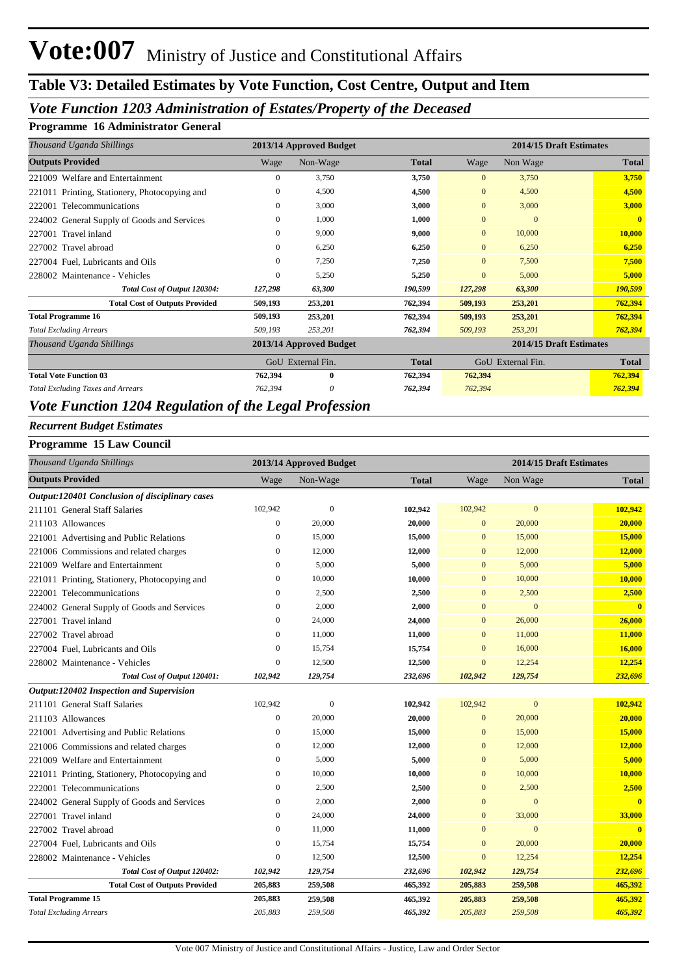## **Table V3: Detailed Estimates by Vote Function, Cost Centre, Output and Item**

## *Vote Function 1203 Administration of Estates/Property of the Deceased*

### **Programme 16 Administrator General**

| Thousand Uganda Shillings                     |                                   | 2013/14 Approved Budget |              |                   | 2014/15 Draft Estimates |              |  |  |
|-----------------------------------------------|-----------------------------------|-------------------------|--------------|-------------------|-------------------------|--------------|--|--|
| <b>Outputs Provided</b>                       | Wage                              | Non-Wage                | <b>Total</b> | Wage              | Non Wage                | <b>Total</b> |  |  |
| Welfare and Entertainment<br>221009           | $\mathbf{0}$                      | 3,750                   | 3,750        | $\overline{0}$    | 3,750                   | 3,750        |  |  |
| 221011 Printing, Stationery, Photocopying and | $\mathbf{0}$                      | 4,500                   | 4,500        | $\overline{0}$    | 4,500                   | 4,500        |  |  |
| 222001 Telecommunications                     | $\mathbf{0}$                      | 3,000                   | 3,000        | $\overline{0}$    | 3,000                   | 3,000        |  |  |
| 224002 General Supply of Goods and Services   | $\mathbf{0}$                      | 1,000                   | 1,000        | $\overline{0}$    | $\mathbf{0}$            | $\mathbf{0}$ |  |  |
| 227001 Travel inland                          | $\mathbf{0}$                      | 9,000                   | 9,000        | $\overline{0}$    | 10,000                  | 10,000       |  |  |
| 227002 Travel abroad                          | $\mathbf{0}$                      | 6,250                   | 6,250        | $\overline{0}$    | 6,250                   | 6,250        |  |  |
| 227004 Fuel, Lubricants and Oils              | $\mathbf{0}$                      | 7,250                   | 7,250        | $\overline{0}$    | 7,500                   | 7,500        |  |  |
| 228002 Maintenance - Vehicles                 | $\boldsymbol{0}$                  | 5,250                   | 5,250        | $\mathbf{0}$      | 5,000                   | 5,000        |  |  |
| Total Cost of Output 120304:                  | 127,298                           | 63,300                  | 190,599      | 127,298           | 63,300                  | 190,599      |  |  |
| <b>Total Cost of Outputs Provided</b>         | 509,193                           | 253,201                 | 762,394      | 509,193           | 253,201                 | 762,394      |  |  |
| <b>Total Programme 16</b>                     | 509,193                           | 253,201                 | 762,394      | 509,193           | 253,201                 | 762,394      |  |  |
| <b>Total Excluding Arrears</b>                | 509,193                           | 253,201                 | 762,394      | 509,193           | 253,201                 | 762,394      |  |  |
| Thousand Uganda Shillings                     |                                   | 2013/14 Approved Budget |              |                   | 2014/15 Draft Estimates |              |  |  |
|                                               | <b>Total</b><br>GoU External Fin. |                         |              | GoU External Fin. | <b>Total</b>            |              |  |  |
| <b>Total Vote Function 03</b>                 | 762,394                           | $\bf{0}$                | 762,394      | 762,394           |                         | 762,394      |  |  |
| <b>Total Excluding Taxes and Arrears</b>      | 762,394                           | 0                       | 762,394      | 762,394           |                         | 762,394      |  |  |

## *Vote Function 1204 Regulation of the Legal Profession*

#### *Recurrent Budget Estimates*

#### **Programme 15 Law Council**

| Thousand Uganda Shillings                      |                  | 2013/14 Approved Budget |              |                | 2014/15 Draft Estimates |                         |
|------------------------------------------------|------------------|-------------------------|--------------|----------------|-------------------------|-------------------------|
| <b>Outputs Provided</b>                        | Wage             | Non-Wage                | <b>Total</b> | Wage           | Non Wage                | <b>Total</b>            |
| Output:120401 Conclusion of disciplinary cases |                  |                         |              |                |                         |                         |
| 211101 General Staff Salaries                  | 102,942          | $\overline{0}$          | 102,942      | 102,942        | $\mathbf{0}$            | 102,942                 |
| 211103 Allowances                              | $\mathbf{0}$     | 20,000                  | 20,000       | $\mathbf{0}$   | 20,000                  | 20,000                  |
| 221001 Advertising and Public Relations        | $\overline{0}$   | 15,000                  | 15,000       | $\overline{0}$ | 15,000                  | 15,000                  |
| 221006 Commissions and related charges         | $\mathbf{0}$     | 12,000                  | 12,000       | $\mathbf{0}$   | 12,000                  | 12,000                  |
| 221009 Welfare and Entertainment               | $\mathbf{0}$     | 5.000                   | 5,000        | $\mathbf{0}$   | 5,000                   | 5,000                   |
| 221011 Printing, Stationery, Photocopying and  | $\boldsymbol{0}$ | 10,000                  | 10,000       | $\mathbf{0}$   | 10,000                  | 10,000                  |
| 222001 Telecommunications                      | $\boldsymbol{0}$ | 2,500                   | 2,500        | $\mathbf{0}$   | 2,500                   | 2,500                   |
| 224002 General Supply of Goods and Services    | $\mathbf{0}$     | 2,000                   | 2,000        | $\mathbf{0}$   | $\mathbf{0}$            | $\overline{\mathbf{0}}$ |
| 227001 Travel inland                           | $\mathbf{0}$     | 24,000                  | 24,000       | $\mathbf{0}$   | 26,000                  | 26,000                  |
| 227002 Travel abroad                           | $\mathbf{0}$     | 11,000                  | 11,000       | $\mathbf{0}$   | 11,000                  | 11,000                  |
| 227004 Fuel, Lubricants and Oils               | $\boldsymbol{0}$ | 15,754                  | 15,754       | $\mathbf{0}$   | 16,000                  | 16,000                  |
| 228002 Maintenance - Vehicles                  | $\mathbf{0}$     | 12,500                  | 12,500       | $\mathbf{0}$   | 12,254                  | 12,254                  |
| Total Cost of Output 120401:                   | 102,942          | 129,754                 | 232,696      | 102,942        | 129,754                 | 232,696                 |
| Output:120402 Inspection and Supervision       |                  |                         |              |                |                         |                         |
| 211101 General Staff Salaries                  | 102,942          | $\mathbf{0}$            | 102,942      | 102,942        | $\mathbf{0}$            | 102,942                 |
| 211103 Allowances                              | $\boldsymbol{0}$ | 20,000                  | 20,000       | $\mathbf{0}$   | 20,000                  | 20,000                  |
| 221001 Advertising and Public Relations        | $\boldsymbol{0}$ | 15,000                  | 15,000       | $\mathbf{0}$   | 15,000                  | 15,000                  |
| 221006 Commissions and related charges         | $\mathbf{0}$     | 12,000                  | 12,000       | $\mathbf{0}$   | 12,000                  | 12,000                  |
| 221009 Welfare and Entertainment               | $\mathbf{0}$     | 5,000                   | 5,000        | $\mathbf{0}$   | 5,000                   | 5,000                   |
| 221011 Printing, Stationery, Photocopying and  | $\mathbf{0}$     | 10,000                  | 10,000       | $\mathbf{0}$   | 10,000                  | 10,000                  |
| 222001 Telecommunications                      | $\mathbf{0}$     | 2,500                   | 2,500        | $\mathbf{0}$   | 2,500                   | 2,500                   |
| 224002 General Supply of Goods and Services    | $\mathbf{0}$     | 2,000                   | 2,000        | $\overline{0}$ | $\mathbf{0}$            | $\mathbf{0}$            |
| 227001 Travel inland                           | $\boldsymbol{0}$ | 24,000                  | 24,000       | $\mathbf{0}$   | 33,000                  | 33,000                  |
| 227002 Travel abroad                           | 0                | 11,000                  | 11,000       | $\mathbf{0}$   | $\mathbf{0}$            | $\mathbf{0}$            |
| 227004 Fuel, Lubricants and Oils               | $\boldsymbol{0}$ | 15,754                  | 15,754       | $\mathbf{0}$   | 20,000                  | 20,000                  |
| 228002 Maintenance - Vehicles                  | $\mathbf{0}$     | 12,500                  | 12,500       | $\mathbf{0}$   | 12,254                  | 12,254                  |
| Total Cost of Output 120402:                   | 102,942          | 129,754                 | 232,696      | 102,942        | 129,754                 | 232,696                 |
| <b>Total Cost of Outputs Provided</b>          | 205,883          | 259,508                 | 465,392      | 205,883        | 259,508                 | 465,392                 |
| <b>Total Programme 15</b>                      | 205,883          | 259,508                 | 465,392      | 205,883        | 259,508                 | 465,392                 |
| <b>Total Excluding Arrears</b>                 | 205,883          | 259,508                 | 465,392      | 205,883        | 259,508                 | 465,392                 |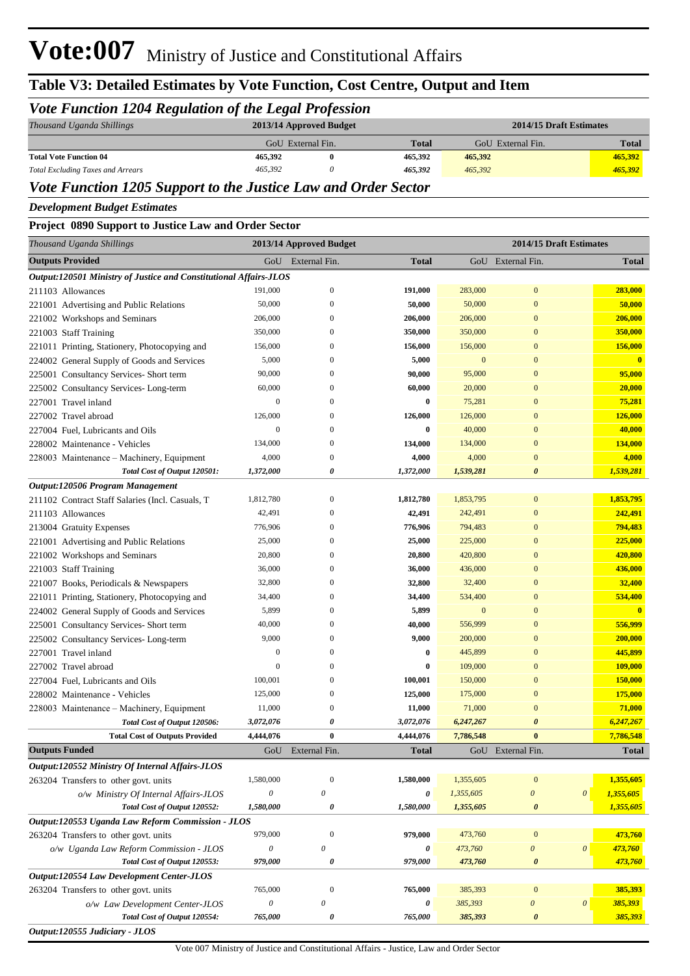## **Table V3: Detailed Estimates by Vote Function, Cost Centre, Output and Item**

### *Vote Function 1204 Regulation of the Legal Profession*

| Thousand Uganda Shillings                |         | 2013/14 Approved Budget | 2014/15 Draft Estimates |                   |              |  |  |  |
|------------------------------------------|---------|-------------------------|-------------------------|-------------------|--------------|--|--|--|
|                                          |         | GoU External Fin.       | <b>Total</b>            | GoU External Fin. | <b>Total</b> |  |  |  |
| <b>Total Vote Function 04</b>            | 465,392 |                         | 465.392                 | 465,392           | 465,392      |  |  |  |
| <b>Total Excluding Taxes and Arrears</b> | 465.392 |                         | 465.392                 | 465,392           | 465,392      |  |  |  |

### *Vote Function 1205 Support to the Justice Law and Order Sector*

*Development Budget Estimates*

#### **Project 0890 Support to Justice Law and Order Sector**

| Thousand Uganda Shillings                                         |                           | 2013/14 Approved Budget   |              |              | 2014/15 Draft Estimates   |                       |                         |
|-------------------------------------------------------------------|---------------------------|---------------------------|--------------|--------------|---------------------------|-----------------------|-------------------------|
| <b>Outputs Provided</b>                                           |                           | GoU External Fin.         | <b>Total</b> |              | GoU External Fin.         |                       | <b>Total</b>            |
| Output:120501 Ministry of Justice and Constitutional Affairs-JLOS |                           |                           |              |              |                           |                       |                         |
| 211103 Allowances                                                 | 191,000                   | $\mathbf{0}$              | 191,000      | 283,000      | $\bf{0}$                  |                       | 283,000                 |
| 221001 Advertising and Public Relations                           | 50,000                    | $\boldsymbol{0}$          | 50,000       | 50,000       | $\mathbf{0}$              |                       | 50,000                  |
| 221002 Workshops and Seminars                                     | 206,000                   | $\boldsymbol{0}$          | 206,000      | 206,000      | $\mathbf{0}$              |                       | 206,000                 |
| 221003 Staff Training                                             | 350,000                   | $\boldsymbol{0}$          | 350,000      | 350,000      | $\mathbf{0}$              |                       | 350,000                 |
| 221011 Printing, Stationery, Photocopying and                     | 156,000                   | $\boldsymbol{0}$          | 156,000      | 156,000      | $\mathbf{0}$              |                       | 156,000                 |
| 224002 General Supply of Goods and Services                       | 5,000                     | $\boldsymbol{0}$          | 5,000        | $\mathbf{0}$ | $\mathbf{0}$              |                       | $\overline{\mathbf{0}}$ |
| 225001 Consultancy Services- Short term                           | 90,000                    | $\boldsymbol{0}$          | 90,000       | 95,000       | $\mathbf{0}$              |                       | 95,000                  |
| 225002 Consultancy Services-Long-term                             | 60,000                    | $\boldsymbol{0}$          | 60,000       | 20,000       | $\mathbf{0}$              |                       | 20,000                  |
| 227001 Travel inland                                              | $\boldsymbol{0}$          | $\boldsymbol{0}$          | $\bf{0}$     | 75,281       | $\mathbf{0}$              |                       | 75,281                  |
| 227002 Travel abroad                                              | 126,000                   | $\boldsymbol{0}$          | 126,000      | 126,000      | $\mathbf{0}$              |                       | 126,000                 |
| 227004 Fuel, Lubricants and Oils                                  | $\mathbf{0}$              | $\boldsymbol{0}$          | $\bf{0}$     | 40,000       | $\mathbf{0}$              |                       | 40,000                  |
| 228002 Maintenance - Vehicles                                     | 134,000                   | $\boldsymbol{0}$          | 134,000      | 134,000      | $\mathbf{0}$              |                       | 134,000                 |
| 228003 Maintenance – Machinery, Equipment                         | 4,000                     | $\boldsymbol{0}$          | 4,000        | 4,000        | $\mathbf{0}$              |                       | 4,000                   |
| Total Cost of Output 120501:                                      | 1,372,000                 | 0                         | 1,372,000    | 1,539,281    | $\boldsymbol{\theta}$     |                       | 1,539,281               |
| Output:120506 Program Management                                  |                           |                           |              |              |                           |                       |                         |
| 211102 Contract Staff Salaries (Incl. Casuals, T                  | 1,812,780                 | $\mathbf{0}$              | 1,812,780    | 1,853,795    | $\bf{0}$                  |                       | 1,853,795               |
| 211103 Allowances                                                 | 42,491                    | $\boldsymbol{0}$          | 42,491       | 242,491      | $\mathbf{0}$              |                       | 242,491                 |
| 213004 Gratuity Expenses                                          | 776,906                   | $\boldsymbol{0}$          | 776,906      | 794,483      | $\mathbf{0}$              |                       | 794,483                 |
| 221001 Advertising and Public Relations                           | 25,000                    | $\boldsymbol{0}$          | 25,000       | 225,000      | $\mathbf{0}$              |                       | 225,000                 |
| 221002 Workshops and Seminars                                     | 20,800                    | $\boldsymbol{0}$          | 20,800       | 420,800      | $\mathbf{0}$              |                       | 420,800                 |
| 221003 Staff Training                                             | 36,000                    | $\boldsymbol{0}$          | 36,000       | 436,000      | $\mathbf{0}$              |                       | 436,000                 |
| 221007 Books, Periodicals & Newspapers                            | 32,800                    | $\boldsymbol{0}$          | 32,800       | 32,400       | $\mathbf{0}$              |                       | 32,400                  |
| 221011 Printing, Stationery, Photocopying and                     | 34,400                    | $\boldsymbol{0}$          | 34,400       | 534,400      | $\mathbf{0}$              |                       | 534,400                 |
| 224002 General Supply of Goods and Services                       | 5,899                     | $\boldsymbol{0}$          | 5,899        | $\mathbf{0}$ | $\mathbf{0}$              |                       | $\overline{\mathbf{0}}$ |
| 225001 Consultancy Services- Short term                           | 40,000                    | $\boldsymbol{0}$          | 40,000       | 556,999      | $\mathbf{0}$              |                       | 556,999                 |
| 225002 Consultancy Services-Long-term                             | 9,000                     | $\boldsymbol{0}$          | 9,000        | 200,000      | $\mathbf{0}$              |                       | 200,000                 |
| 227001 Travel inland                                              | $\boldsymbol{0}$          | $\mathbf{0}$              | $\bf{0}$     | 445,899      | $\mathbf{0}$              |                       | 445,899                 |
| 227002 Travel abroad                                              | $\mathbf{0}$              | $\boldsymbol{0}$          | $\bf{0}$     | 109,000      | $\mathbf{0}$              |                       | 109,000                 |
| 227004 Fuel, Lubricants and Oils                                  | 100,001                   | 0                         | 100,001      | 150,000      | $\mathbf{0}$              |                       | 150,000                 |
| 228002 Maintenance - Vehicles                                     | 125,000                   | $\boldsymbol{0}$          | 125,000      | 175,000      | $\mathbf{0}$              |                       | 175,000                 |
| 228003 Maintenance – Machinery, Equipment                         | 11,000                    | $\boldsymbol{0}$          | 11,000       | 71,000       | $\mathbf{0}$              |                       | 71,000                  |
| Total Cost of Output 120506:                                      | 3,072,076                 | 0                         | 3,072,076    | 6,247,267    | $\boldsymbol{\theta}$     |                       | 6,247,267               |
| <b>Total Cost of Outputs Provided</b>                             | 4,444,076                 | $\bf{0}$                  | 4,444,076    | 7,786,548    | $\bf{0}$                  |                       | 7,786,548               |
| <b>Outputs Funded</b>                                             | GoU                       | External Fin.             | <b>Total</b> |              | GoU External Fin.         |                       | <b>Total</b>            |
| Output:120552 Ministry Of Internal Affairs-JLOS                   |                           |                           |              |              |                           |                       |                         |
| 263204 Transfers to other govt. units                             | 1,580,000                 | $\overline{0}$            | 1,580,000    | 1,355,605    | $\boldsymbol{0}$          |                       | 1,355,605               |
| o/w Ministry Of Internal Affairs-JLOS                             | $\boldsymbol{\mathit{0}}$ | $\boldsymbol{\theta}$     | 0            | 1,355,605    | $\boldsymbol{\mathit{0}}$ | $\boldsymbol{\theta}$ | 1,355,605               |
| Total Cost of Output 120552:                                      | 1,580,000                 | $\pmb{\theta}$            | 1,580,000    | 1,355,605    | $\pmb{\theta}$            |                       | 1,355,605               |
| Output:120553 Uganda Law Reform Commission - JLOS                 |                           |                           |              |              |                           |                       |                         |
| 263204 Transfers to other govt. units                             | 979,000                   | $\boldsymbol{0}$          | 979,000      | 473,760      | $\bf{0}$                  |                       | 473,760                 |
| o/w Uganda Law Reform Commission - JLOS                           | 0                         | $\boldsymbol{\theta}$     | 0            | 473,760      | $\boldsymbol{\mathit{0}}$ | 0                     | 473,760                 |
| Total Cost of Output 120553:                                      | 979,000                   | $\pmb{\theta}$            | 979,000      | 473,760      | $\pmb{\theta}$            |                       | 473,760                 |
| Output:120554 Law Development Center-JLOS                         |                           |                           |              |              |                           |                       |                         |
| 263204 Transfers to other govt. units                             | 765,000                   | $\mathbf{0}$              | 765,000      | 385,393      | $\bf{0}$                  |                       | 385,393                 |
| o/w Law Development Center-JLOS                                   | $\boldsymbol{\theta}$     | $\boldsymbol{\mathit{0}}$ | 0            | 385,393      | $\boldsymbol{\mathit{0}}$ | $\boldsymbol{\theta}$ | 385,393                 |
| Total Cost of Output 120554:                                      | 765,000                   | $\pmb{\theta}$            | 765,000      | 385,393      | $\boldsymbol{\theta}$     |                       | 385,393                 |
| Output:120555 Judiciary - JLOS                                    |                           |                           |              |              |                           |                       |                         |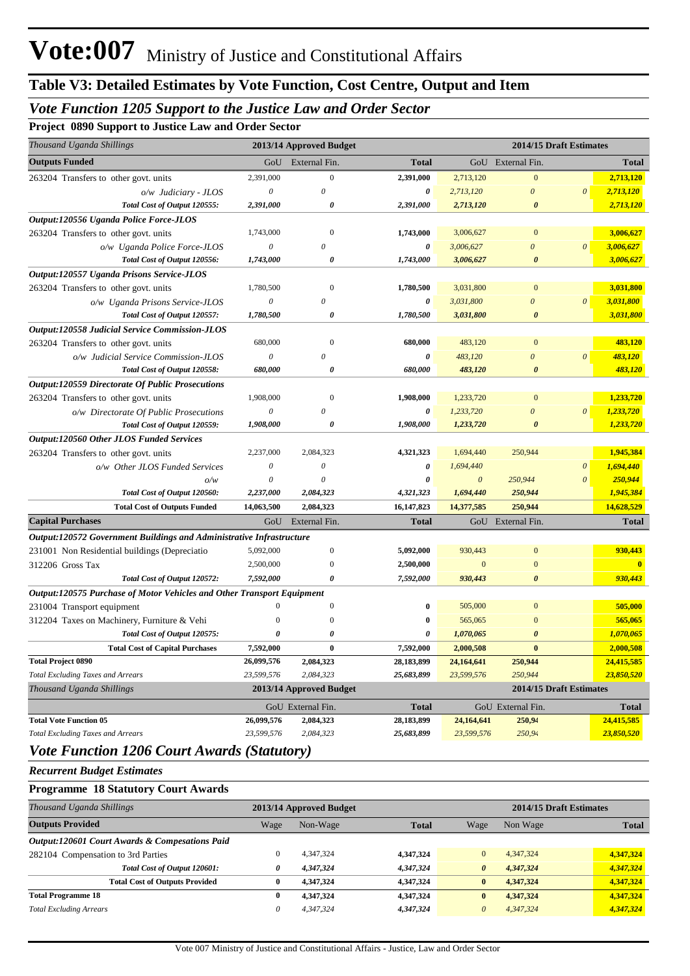## **Table V3: Detailed Estimates by Vote Function, Cost Centre, Output and Item**

### *Vote Function 1205 Support to the Justice Law and Order Sector*

**Project 0890 Support to Justice Law and Order Sector**

| External Fin.<br>GoU External Fin.<br>GoU<br><b>Total</b><br><b>Total</b><br>$\boldsymbol{0}$<br>$\mathbf{0}$<br>2,391,000<br>2,391,000<br>2,713,120<br>2,713,120<br>$\boldsymbol{\theta}$<br>0<br>2,713,120<br>$\boldsymbol{\theta}$<br>$\boldsymbol{\theta}$<br>2,713,120<br>o/w Judiciary - JLOS<br>0<br>Total Cost of Output 120555:<br>2,391,000<br>0<br>2,391,000<br>$\boldsymbol{\theta}$<br>2,713,120<br>2,713,120<br>$\mathbf{0}$<br>1,743,000<br>$\mathbf{0}$<br>3,006,627<br>1,743,000<br>3,006,627<br>$\boldsymbol{\theta}$<br>0<br>0<br>3,006,627<br>$\theta$<br>$\boldsymbol{\theta}$<br>3,006,627<br>o/w Uganda Police Force-JLOS<br>0<br>Total Cost of Output 120556:<br>1,743,000<br>1,743,000<br>3,006,627<br>0<br>3,006,627<br>$\mathbf{0}$<br>1,780,500<br>1,780,500<br>3,031,800<br>$\boldsymbol{0}$<br>3,031,800<br>$\boldsymbol{\theta}$<br>0<br>0<br>3,031,800<br>3,031,800<br>0<br>$\boldsymbol{\theta}$<br>o/w Uganda Prisons Service-JLOS<br>Total Cost of Output 120557:<br>1,780,500<br>0<br>1,780,500<br>$\boldsymbol{\theta}$<br>3,031,800<br>3,031,800<br>680,000<br>$\boldsymbol{0}$<br>483,120<br>680,000<br>483,120<br>$\boldsymbol{0}$<br>263204 Transfers to other govt. units<br>$\theta$<br>0<br>0<br>483,120<br>$\boldsymbol{\theta}$<br>483,120<br>o/w Judicial Service Commission-JLOS<br>$\boldsymbol{\theta}$<br>Total Cost of Output 120558:<br>680,000<br>680,000<br>483,120<br>$\boldsymbol{\theta}$<br>483,120<br>0<br>1,908,000<br>$\mathbf{0}$<br>1,908,000<br>1,233,720<br>1,233,720<br>$\boldsymbol{0}$<br>$\theta$<br>0<br>0<br>1,233,720<br>$\boldsymbol{\theta}$<br>1,233,720<br>o/w Directorate Of Public Prosecutions<br>$\boldsymbol{\theta}$<br>Total Cost of Output 120559:<br>1,908,000<br>1,908,000<br>$\boldsymbol{\theta}$<br>1,233,720<br>0<br>1,233,720<br>2,237,000<br>2,084,323<br>1,694,440<br>250,944<br>1,945,384<br>4,321,323<br>$\theta$<br>0<br>1,694,440<br>0<br>1,694,440<br>o/w Other JLOS Funded Services<br>250,944<br>$\theta$<br>0<br>0<br>$\boldsymbol{\theta}$<br>250,944<br>$\theta$<br>o/w<br>250,944<br>1,945,384<br>Total Cost of Output 120560:<br>2,237,000<br>2,084,323<br>4,321,323<br>1,694,440<br><b>Total Cost of Outputs Funded</b><br>2,084,323<br>16,147,823<br>250,944<br>14,628,529<br>14,063,500<br>14,377,585<br>External Fin.<br><b>Total</b><br>GoU External Fin.<br><b>Total</b><br>GoU<br>Output:120572 Government Buildings and Administrative Infrastructure<br>5,092,000<br>$\boldsymbol{0}$<br>5,092,000<br>$\mathbf{0}$<br>930,443<br>930,443<br>2,500,000<br>2,500,000<br>$\mathbf{0}$<br>$\bf{0}$<br>312206 Gross Tax<br>$\boldsymbol{0}$<br>$\overline{0}$<br>930,443<br>7,592,000<br>7,592,000<br>930,443<br>$\boldsymbol{\theta}$<br>Total Cost of Output 120572:<br>0<br>Output:120575 Purchase of Motor Vehicles and Other Transport Equipment<br>$\mathbf{0}$<br>$\mathbf{0}$<br>$\boldsymbol{0}$<br>505,000<br>505,000<br>0<br>$\Omega$<br>565,065<br>$\bf{0}$<br>565,065<br>$\theta$<br>0<br>1,070,065<br>$\boldsymbol{\theta}$<br>1,070,065<br>Total Cost of Output 120575:<br>0<br>0<br>0<br>$\bf{0}$<br>7,592,000<br>$\bf{0}$<br><b>Total Cost of Capital Purchases</b><br>7.592.000<br>2.000.508<br>2,000,508<br><b>Total Project 0890</b><br>26,099,576<br>28,183,899<br>24,415,585<br>2,084,323<br>24,164,641<br>250,944<br>23.599.576<br>2,084,323<br>250,944<br>23,599,576<br>23,850,520<br>25,683,899<br>2013/14 Approved Budget<br>2014/15 Draft Estimates<br>GoU External Fin.<br><b>Total</b><br>GoU External Fin.<br><b>Total</b><br>2,084,323<br>28,183,899<br>250,94<br><b>Total Vote Function 05</b><br>26,099,576<br>24,164,641<br>24,415,585<br><b>Total Excluding Taxes and Arrears</b><br>23,599,576<br>2,084,323<br>25,683,899<br>23,599,576<br>250,94<br>23,850,520 | Thousand Uganda Shillings                               | 2013/14 Approved Budget |  | 2014/15 Draft Estimates |  |
|-------------------------------------------------------------------------------------------------------------------------------------------------------------------------------------------------------------------------------------------------------------------------------------------------------------------------------------------------------------------------------------------------------------------------------------------------------------------------------------------------------------------------------------------------------------------------------------------------------------------------------------------------------------------------------------------------------------------------------------------------------------------------------------------------------------------------------------------------------------------------------------------------------------------------------------------------------------------------------------------------------------------------------------------------------------------------------------------------------------------------------------------------------------------------------------------------------------------------------------------------------------------------------------------------------------------------------------------------------------------------------------------------------------------------------------------------------------------------------------------------------------------------------------------------------------------------------------------------------------------------------------------------------------------------------------------------------------------------------------------------------------------------------------------------------------------------------------------------------------------------------------------------------------------------------------------------------------------------------------------------------------------------------------------------------------------------------------------------------------------------------------------------------------------------------------------------------------------------------------------------------------------------------------------------------------------------------------------------------------------------------------------------------------------------------------------------------------------------------------------------------------------------------------------------------------------------------------------------------------------------------------------------------------------------------------------------------------------------------------------------------------------------------------------------------------------------------------------------------------------------------------------------------------------------------------------------------------------------------------------------------------------------------------------------------------------------------------------------------------------------------------------------------------------------------------------------------------------------------------------------------------------------------------------------------------------------------------------------------------------------------------------------------------------------------------------------------------------------------------------------------------------------------------------------------------------------------------------------------------------------------------------------------------------------------------------------------------------------------------------------------------------------------------------------------------------|---------------------------------------------------------|-------------------------|--|-------------------------|--|
|                                                                                                                                                                                                                                                                                                                                                                                                                                                                                                                                                                                                                                                                                                                                                                                                                                                                                                                                                                                                                                                                                                                                                                                                                                                                                                                                                                                                                                                                                                                                                                                                                                                                                                                                                                                                                                                                                                                                                                                                                                                                                                                                                                                                                                                                                                                                                                                                                                                                                                                                                                                                                                                                                                                                                                                                                                                                                                                                                                                                                                                                                                                                                                                                                                                                                                                                                                                                                                                                                                                                                                                                                                                                                                                                                                                                                   | <b>Outputs Funded</b>                                   |                         |  |                         |  |
|                                                                                                                                                                                                                                                                                                                                                                                                                                                                                                                                                                                                                                                                                                                                                                                                                                                                                                                                                                                                                                                                                                                                                                                                                                                                                                                                                                                                                                                                                                                                                                                                                                                                                                                                                                                                                                                                                                                                                                                                                                                                                                                                                                                                                                                                                                                                                                                                                                                                                                                                                                                                                                                                                                                                                                                                                                                                                                                                                                                                                                                                                                                                                                                                                                                                                                                                                                                                                                                                                                                                                                                                                                                                                                                                                                                                                   | 263204 Transfers to other govt. units                   |                         |  |                         |  |
|                                                                                                                                                                                                                                                                                                                                                                                                                                                                                                                                                                                                                                                                                                                                                                                                                                                                                                                                                                                                                                                                                                                                                                                                                                                                                                                                                                                                                                                                                                                                                                                                                                                                                                                                                                                                                                                                                                                                                                                                                                                                                                                                                                                                                                                                                                                                                                                                                                                                                                                                                                                                                                                                                                                                                                                                                                                                                                                                                                                                                                                                                                                                                                                                                                                                                                                                                                                                                                                                                                                                                                                                                                                                                                                                                                                                                   |                                                         |                         |  |                         |  |
|                                                                                                                                                                                                                                                                                                                                                                                                                                                                                                                                                                                                                                                                                                                                                                                                                                                                                                                                                                                                                                                                                                                                                                                                                                                                                                                                                                                                                                                                                                                                                                                                                                                                                                                                                                                                                                                                                                                                                                                                                                                                                                                                                                                                                                                                                                                                                                                                                                                                                                                                                                                                                                                                                                                                                                                                                                                                                                                                                                                                                                                                                                                                                                                                                                                                                                                                                                                                                                                                                                                                                                                                                                                                                                                                                                                                                   |                                                         |                         |  |                         |  |
|                                                                                                                                                                                                                                                                                                                                                                                                                                                                                                                                                                                                                                                                                                                                                                                                                                                                                                                                                                                                                                                                                                                                                                                                                                                                                                                                                                                                                                                                                                                                                                                                                                                                                                                                                                                                                                                                                                                                                                                                                                                                                                                                                                                                                                                                                                                                                                                                                                                                                                                                                                                                                                                                                                                                                                                                                                                                                                                                                                                                                                                                                                                                                                                                                                                                                                                                                                                                                                                                                                                                                                                                                                                                                                                                                                                                                   | Output:120556 Uganda Police Force-JLOS                  |                         |  |                         |  |
|                                                                                                                                                                                                                                                                                                                                                                                                                                                                                                                                                                                                                                                                                                                                                                                                                                                                                                                                                                                                                                                                                                                                                                                                                                                                                                                                                                                                                                                                                                                                                                                                                                                                                                                                                                                                                                                                                                                                                                                                                                                                                                                                                                                                                                                                                                                                                                                                                                                                                                                                                                                                                                                                                                                                                                                                                                                                                                                                                                                                                                                                                                                                                                                                                                                                                                                                                                                                                                                                                                                                                                                                                                                                                                                                                                                                                   | 263204 Transfers to other govt. units                   |                         |  |                         |  |
|                                                                                                                                                                                                                                                                                                                                                                                                                                                                                                                                                                                                                                                                                                                                                                                                                                                                                                                                                                                                                                                                                                                                                                                                                                                                                                                                                                                                                                                                                                                                                                                                                                                                                                                                                                                                                                                                                                                                                                                                                                                                                                                                                                                                                                                                                                                                                                                                                                                                                                                                                                                                                                                                                                                                                                                                                                                                                                                                                                                                                                                                                                                                                                                                                                                                                                                                                                                                                                                                                                                                                                                                                                                                                                                                                                                                                   |                                                         |                         |  |                         |  |
|                                                                                                                                                                                                                                                                                                                                                                                                                                                                                                                                                                                                                                                                                                                                                                                                                                                                                                                                                                                                                                                                                                                                                                                                                                                                                                                                                                                                                                                                                                                                                                                                                                                                                                                                                                                                                                                                                                                                                                                                                                                                                                                                                                                                                                                                                                                                                                                                                                                                                                                                                                                                                                                                                                                                                                                                                                                                                                                                                                                                                                                                                                                                                                                                                                                                                                                                                                                                                                                                                                                                                                                                                                                                                                                                                                                                                   |                                                         |                         |  |                         |  |
|                                                                                                                                                                                                                                                                                                                                                                                                                                                                                                                                                                                                                                                                                                                                                                                                                                                                                                                                                                                                                                                                                                                                                                                                                                                                                                                                                                                                                                                                                                                                                                                                                                                                                                                                                                                                                                                                                                                                                                                                                                                                                                                                                                                                                                                                                                                                                                                                                                                                                                                                                                                                                                                                                                                                                                                                                                                                                                                                                                                                                                                                                                                                                                                                                                                                                                                                                                                                                                                                                                                                                                                                                                                                                                                                                                                                                   | Output:120557 Uganda Prisons Service-JLOS               |                         |  |                         |  |
|                                                                                                                                                                                                                                                                                                                                                                                                                                                                                                                                                                                                                                                                                                                                                                                                                                                                                                                                                                                                                                                                                                                                                                                                                                                                                                                                                                                                                                                                                                                                                                                                                                                                                                                                                                                                                                                                                                                                                                                                                                                                                                                                                                                                                                                                                                                                                                                                                                                                                                                                                                                                                                                                                                                                                                                                                                                                                                                                                                                                                                                                                                                                                                                                                                                                                                                                                                                                                                                                                                                                                                                                                                                                                                                                                                                                                   | 263204 Transfers to other govt. units                   |                         |  |                         |  |
|                                                                                                                                                                                                                                                                                                                                                                                                                                                                                                                                                                                                                                                                                                                                                                                                                                                                                                                                                                                                                                                                                                                                                                                                                                                                                                                                                                                                                                                                                                                                                                                                                                                                                                                                                                                                                                                                                                                                                                                                                                                                                                                                                                                                                                                                                                                                                                                                                                                                                                                                                                                                                                                                                                                                                                                                                                                                                                                                                                                                                                                                                                                                                                                                                                                                                                                                                                                                                                                                                                                                                                                                                                                                                                                                                                                                                   |                                                         |                         |  |                         |  |
|                                                                                                                                                                                                                                                                                                                                                                                                                                                                                                                                                                                                                                                                                                                                                                                                                                                                                                                                                                                                                                                                                                                                                                                                                                                                                                                                                                                                                                                                                                                                                                                                                                                                                                                                                                                                                                                                                                                                                                                                                                                                                                                                                                                                                                                                                                                                                                                                                                                                                                                                                                                                                                                                                                                                                                                                                                                                                                                                                                                                                                                                                                                                                                                                                                                                                                                                                                                                                                                                                                                                                                                                                                                                                                                                                                                                                   |                                                         |                         |  |                         |  |
|                                                                                                                                                                                                                                                                                                                                                                                                                                                                                                                                                                                                                                                                                                                                                                                                                                                                                                                                                                                                                                                                                                                                                                                                                                                                                                                                                                                                                                                                                                                                                                                                                                                                                                                                                                                                                                                                                                                                                                                                                                                                                                                                                                                                                                                                                                                                                                                                                                                                                                                                                                                                                                                                                                                                                                                                                                                                                                                                                                                                                                                                                                                                                                                                                                                                                                                                                                                                                                                                                                                                                                                                                                                                                                                                                                                                                   | Output:120558 Judicial Service Commission-JLOS          |                         |  |                         |  |
|                                                                                                                                                                                                                                                                                                                                                                                                                                                                                                                                                                                                                                                                                                                                                                                                                                                                                                                                                                                                                                                                                                                                                                                                                                                                                                                                                                                                                                                                                                                                                                                                                                                                                                                                                                                                                                                                                                                                                                                                                                                                                                                                                                                                                                                                                                                                                                                                                                                                                                                                                                                                                                                                                                                                                                                                                                                                                                                                                                                                                                                                                                                                                                                                                                                                                                                                                                                                                                                                                                                                                                                                                                                                                                                                                                                                                   |                                                         |                         |  |                         |  |
|                                                                                                                                                                                                                                                                                                                                                                                                                                                                                                                                                                                                                                                                                                                                                                                                                                                                                                                                                                                                                                                                                                                                                                                                                                                                                                                                                                                                                                                                                                                                                                                                                                                                                                                                                                                                                                                                                                                                                                                                                                                                                                                                                                                                                                                                                                                                                                                                                                                                                                                                                                                                                                                                                                                                                                                                                                                                                                                                                                                                                                                                                                                                                                                                                                                                                                                                                                                                                                                                                                                                                                                                                                                                                                                                                                                                                   |                                                         |                         |  |                         |  |
|                                                                                                                                                                                                                                                                                                                                                                                                                                                                                                                                                                                                                                                                                                                                                                                                                                                                                                                                                                                                                                                                                                                                                                                                                                                                                                                                                                                                                                                                                                                                                                                                                                                                                                                                                                                                                                                                                                                                                                                                                                                                                                                                                                                                                                                                                                                                                                                                                                                                                                                                                                                                                                                                                                                                                                                                                                                                                                                                                                                                                                                                                                                                                                                                                                                                                                                                                                                                                                                                                                                                                                                                                                                                                                                                                                                                                   |                                                         |                         |  |                         |  |
|                                                                                                                                                                                                                                                                                                                                                                                                                                                                                                                                                                                                                                                                                                                                                                                                                                                                                                                                                                                                                                                                                                                                                                                                                                                                                                                                                                                                                                                                                                                                                                                                                                                                                                                                                                                                                                                                                                                                                                                                                                                                                                                                                                                                                                                                                                                                                                                                                                                                                                                                                                                                                                                                                                                                                                                                                                                                                                                                                                                                                                                                                                                                                                                                                                                                                                                                                                                                                                                                                                                                                                                                                                                                                                                                                                                                                   | <b>Output:120559 Directorate Of Public Prosecutions</b> |                         |  |                         |  |
|                                                                                                                                                                                                                                                                                                                                                                                                                                                                                                                                                                                                                                                                                                                                                                                                                                                                                                                                                                                                                                                                                                                                                                                                                                                                                                                                                                                                                                                                                                                                                                                                                                                                                                                                                                                                                                                                                                                                                                                                                                                                                                                                                                                                                                                                                                                                                                                                                                                                                                                                                                                                                                                                                                                                                                                                                                                                                                                                                                                                                                                                                                                                                                                                                                                                                                                                                                                                                                                                                                                                                                                                                                                                                                                                                                                                                   | 263204 Transfers to other govt. units                   |                         |  |                         |  |
|                                                                                                                                                                                                                                                                                                                                                                                                                                                                                                                                                                                                                                                                                                                                                                                                                                                                                                                                                                                                                                                                                                                                                                                                                                                                                                                                                                                                                                                                                                                                                                                                                                                                                                                                                                                                                                                                                                                                                                                                                                                                                                                                                                                                                                                                                                                                                                                                                                                                                                                                                                                                                                                                                                                                                                                                                                                                                                                                                                                                                                                                                                                                                                                                                                                                                                                                                                                                                                                                                                                                                                                                                                                                                                                                                                                                                   |                                                         |                         |  |                         |  |
|                                                                                                                                                                                                                                                                                                                                                                                                                                                                                                                                                                                                                                                                                                                                                                                                                                                                                                                                                                                                                                                                                                                                                                                                                                                                                                                                                                                                                                                                                                                                                                                                                                                                                                                                                                                                                                                                                                                                                                                                                                                                                                                                                                                                                                                                                                                                                                                                                                                                                                                                                                                                                                                                                                                                                                                                                                                                                                                                                                                                                                                                                                                                                                                                                                                                                                                                                                                                                                                                                                                                                                                                                                                                                                                                                                                                                   |                                                         |                         |  |                         |  |
|                                                                                                                                                                                                                                                                                                                                                                                                                                                                                                                                                                                                                                                                                                                                                                                                                                                                                                                                                                                                                                                                                                                                                                                                                                                                                                                                                                                                                                                                                                                                                                                                                                                                                                                                                                                                                                                                                                                                                                                                                                                                                                                                                                                                                                                                                                                                                                                                                                                                                                                                                                                                                                                                                                                                                                                                                                                                                                                                                                                                                                                                                                                                                                                                                                                                                                                                                                                                                                                                                                                                                                                                                                                                                                                                                                                                                   | Output:120560 Other JLOS Funded Services                |                         |  |                         |  |
|                                                                                                                                                                                                                                                                                                                                                                                                                                                                                                                                                                                                                                                                                                                                                                                                                                                                                                                                                                                                                                                                                                                                                                                                                                                                                                                                                                                                                                                                                                                                                                                                                                                                                                                                                                                                                                                                                                                                                                                                                                                                                                                                                                                                                                                                                                                                                                                                                                                                                                                                                                                                                                                                                                                                                                                                                                                                                                                                                                                                                                                                                                                                                                                                                                                                                                                                                                                                                                                                                                                                                                                                                                                                                                                                                                                                                   | 263204 Transfers to other govt. units                   |                         |  |                         |  |
|                                                                                                                                                                                                                                                                                                                                                                                                                                                                                                                                                                                                                                                                                                                                                                                                                                                                                                                                                                                                                                                                                                                                                                                                                                                                                                                                                                                                                                                                                                                                                                                                                                                                                                                                                                                                                                                                                                                                                                                                                                                                                                                                                                                                                                                                                                                                                                                                                                                                                                                                                                                                                                                                                                                                                                                                                                                                                                                                                                                                                                                                                                                                                                                                                                                                                                                                                                                                                                                                                                                                                                                                                                                                                                                                                                                                                   |                                                         |                         |  |                         |  |
|                                                                                                                                                                                                                                                                                                                                                                                                                                                                                                                                                                                                                                                                                                                                                                                                                                                                                                                                                                                                                                                                                                                                                                                                                                                                                                                                                                                                                                                                                                                                                                                                                                                                                                                                                                                                                                                                                                                                                                                                                                                                                                                                                                                                                                                                                                                                                                                                                                                                                                                                                                                                                                                                                                                                                                                                                                                                                                                                                                                                                                                                                                                                                                                                                                                                                                                                                                                                                                                                                                                                                                                                                                                                                                                                                                                                                   |                                                         |                         |  |                         |  |
|                                                                                                                                                                                                                                                                                                                                                                                                                                                                                                                                                                                                                                                                                                                                                                                                                                                                                                                                                                                                                                                                                                                                                                                                                                                                                                                                                                                                                                                                                                                                                                                                                                                                                                                                                                                                                                                                                                                                                                                                                                                                                                                                                                                                                                                                                                                                                                                                                                                                                                                                                                                                                                                                                                                                                                                                                                                                                                                                                                                                                                                                                                                                                                                                                                                                                                                                                                                                                                                                                                                                                                                                                                                                                                                                                                                                                   |                                                         |                         |  |                         |  |
|                                                                                                                                                                                                                                                                                                                                                                                                                                                                                                                                                                                                                                                                                                                                                                                                                                                                                                                                                                                                                                                                                                                                                                                                                                                                                                                                                                                                                                                                                                                                                                                                                                                                                                                                                                                                                                                                                                                                                                                                                                                                                                                                                                                                                                                                                                                                                                                                                                                                                                                                                                                                                                                                                                                                                                                                                                                                                                                                                                                                                                                                                                                                                                                                                                                                                                                                                                                                                                                                                                                                                                                                                                                                                                                                                                                                                   |                                                         |                         |  |                         |  |
|                                                                                                                                                                                                                                                                                                                                                                                                                                                                                                                                                                                                                                                                                                                                                                                                                                                                                                                                                                                                                                                                                                                                                                                                                                                                                                                                                                                                                                                                                                                                                                                                                                                                                                                                                                                                                                                                                                                                                                                                                                                                                                                                                                                                                                                                                                                                                                                                                                                                                                                                                                                                                                                                                                                                                                                                                                                                                                                                                                                                                                                                                                                                                                                                                                                                                                                                                                                                                                                                                                                                                                                                                                                                                                                                                                                                                   | <b>Capital Purchases</b>                                |                         |  |                         |  |
|                                                                                                                                                                                                                                                                                                                                                                                                                                                                                                                                                                                                                                                                                                                                                                                                                                                                                                                                                                                                                                                                                                                                                                                                                                                                                                                                                                                                                                                                                                                                                                                                                                                                                                                                                                                                                                                                                                                                                                                                                                                                                                                                                                                                                                                                                                                                                                                                                                                                                                                                                                                                                                                                                                                                                                                                                                                                                                                                                                                                                                                                                                                                                                                                                                                                                                                                                                                                                                                                                                                                                                                                                                                                                                                                                                                                                   |                                                         |                         |  |                         |  |
|                                                                                                                                                                                                                                                                                                                                                                                                                                                                                                                                                                                                                                                                                                                                                                                                                                                                                                                                                                                                                                                                                                                                                                                                                                                                                                                                                                                                                                                                                                                                                                                                                                                                                                                                                                                                                                                                                                                                                                                                                                                                                                                                                                                                                                                                                                                                                                                                                                                                                                                                                                                                                                                                                                                                                                                                                                                                                                                                                                                                                                                                                                                                                                                                                                                                                                                                                                                                                                                                                                                                                                                                                                                                                                                                                                                                                   | 231001 Non Residential buildings (Depreciatio           |                         |  |                         |  |
|                                                                                                                                                                                                                                                                                                                                                                                                                                                                                                                                                                                                                                                                                                                                                                                                                                                                                                                                                                                                                                                                                                                                                                                                                                                                                                                                                                                                                                                                                                                                                                                                                                                                                                                                                                                                                                                                                                                                                                                                                                                                                                                                                                                                                                                                                                                                                                                                                                                                                                                                                                                                                                                                                                                                                                                                                                                                                                                                                                                                                                                                                                                                                                                                                                                                                                                                                                                                                                                                                                                                                                                                                                                                                                                                                                                                                   |                                                         |                         |  |                         |  |
|                                                                                                                                                                                                                                                                                                                                                                                                                                                                                                                                                                                                                                                                                                                                                                                                                                                                                                                                                                                                                                                                                                                                                                                                                                                                                                                                                                                                                                                                                                                                                                                                                                                                                                                                                                                                                                                                                                                                                                                                                                                                                                                                                                                                                                                                                                                                                                                                                                                                                                                                                                                                                                                                                                                                                                                                                                                                                                                                                                                                                                                                                                                                                                                                                                                                                                                                                                                                                                                                                                                                                                                                                                                                                                                                                                                                                   |                                                         |                         |  |                         |  |
|                                                                                                                                                                                                                                                                                                                                                                                                                                                                                                                                                                                                                                                                                                                                                                                                                                                                                                                                                                                                                                                                                                                                                                                                                                                                                                                                                                                                                                                                                                                                                                                                                                                                                                                                                                                                                                                                                                                                                                                                                                                                                                                                                                                                                                                                                                                                                                                                                                                                                                                                                                                                                                                                                                                                                                                                                                                                                                                                                                                                                                                                                                                                                                                                                                                                                                                                                                                                                                                                                                                                                                                                                                                                                                                                                                                                                   |                                                         |                         |  |                         |  |
|                                                                                                                                                                                                                                                                                                                                                                                                                                                                                                                                                                                                                                                                                                                                                                                                                                                                                                                                                                                                                                                                                                                                                                                                                                                                                                                                                                                                                                                                                                                                                                                                                                                                                                                                                                                                                                                                                                                                                                                                                                                                                                                                                                                                                                                                                                                                                                                                                                                                                                                                                                                                                                                                                                                                                                                                                                                                                                                                                                                                                                                                                                                                                                                                                                                                                                                                                                                                                                                                                                                                                                                                                                                                                                                                                                                                                   | 231004 Transport equipment                              |                         |  |                         |  |
|                                                                                                                                                                                                                                                                                                                                                                                                                                                                                                                                                                                                                                                                                                                                                                                                                                                                                                                                                                                                                                                                                                                                                                                                                                                                                                                                                                                                                                                                                                                                                                                                                                                                                                                                                                                                                                                                                                                                                                                                                                                                                                                                                                                                                                                                                                                                                                                                                                                                                                                                                                                                                                                                                                                                                                                                                                                                                                                                                                                                                                                                                                                                                                                                                                                                                                                                                                                                                                                                                                                                                                                                                                                                                                                                                                                                                   | 312204 Taxes on Machinery, Furniture & Vehi             |                         |  |                         |  |
|                                                                                                                                                                                                                                                                                                                                                                                                                                                                                                                                                                                                                                                                                                                                                                                                                                                                                                                                                                                                                                                                                                                                                                                                                                                                                                                                                                                                                                                                                                                                                                                                                                                                                                                                                                                                                                                                                                                                                                                                                                                                                                                                                                                                                                                                                                                                                                                                                                                                                                                                                                                                                                                                                                                                                                                                                                                                                                                                                                                                                                                                                                                                                                                                                                                                                                                                                                                                                                                                                                                                                                                                                                                                                                                                                                                                                   |                                                         |                         |  |                         |  |
|                                                                                                                                                                                                                                                                                                                                                                                                                                                                                                                                                                                                                                                                                                                                                                                                                                                                                                                                                                                                                                                                                                                                                                                                                                                                                                                                                                                                                                                                                                                                                                                                                                                                                                                                                                                                                                                                                                                                                                                                                                                                                                                                                                                                                                                                                                                                                                                                                                                                                                                                                                                                                                                                                                                                                                                                                                                                                                                                                                                                                                                                                                                                                                                                                                                                                                                                                                                                                                                                                                                                                                                                                                                                                                                                                                                                                   |                                                         |                         |  |                         |  |
|                                                                                                                                                                                                                                                                                                                                                                                                                                                                                                                                                                                                                                                                                                                                                                                                                                                                                                                                                                                                                                                                                                                                                                                                                                                                                                                                                                                                                                                                                                                                                                                                                                                                                                                                                                                                                                                                                                                                                                                                                                                                                                                                                                                                                                                                                                                                                                                                                                                                                                                                                                                                                                                                                                                                                                                                                                                                                                                                                                                                                                                                                                                                                                                                                                                                                                                                                                                                                                                                                                                                                                                                                                                                                                                                                                                                                   |                                                         |                         |  |                         |  |
|                                                                                                                                                                                                                                                                                                                                                                                                                                                                                                                                                                                                                                                                                                                                                                                                                                                                                                                                                                                                                                                                                                                                                                                                                                                                                                                                                                                                                                                                                                                                                                                                                                                                                                                                                                                                                                                                                                                                                                                                                                                                                                                                                                                                                                                                                                                                                                                                                                                                                                                                                                                                                                                                                                                                                                                                                                                                                                                                                                                                                                                                                                                                                                                                                                                                                                                                                                                                                                                                                                                                                                                                                                                                                                                                                                                                                   | <b>Total Excluding Taxes and Arrears</b>                |                         |  |                         |  |
|                                                                                                                                                                                                                                                                                                                                                                                                                                                                                                                                                                                                                                                                                                                                                                                                                                                                                                                                                                                                                                                                                                                                                                                                                                                                                                                                                                                                                                                                                                                                                                                                                                                                                                                                                                                                                                                                                                                                                                                                                                                                                                                                                                                                                                                                                                                                                                                                                                                                                                                                                                                                                                                                                                                                                                                                                                                                                                                                                                                                                                                                                                                                                                                                                                                                                                                                                                                                                                                                                                                                                                                                                                                                                                                                                                                                                   | Thousand Uganda Shillings                               |                         |  |                         |  |
|                                                                                                                                                                                                                                                                                                                                                                                                                                                                                                                                                                                                                                                                                                                                                                                                                                                                                                                                                                                                                                                                                                                                                                                                                                                                                                                                                                                                                                                                                                                                                                                                                                                                                                                                                                                                                                                                                                                                                                                                                                                                                                                                                                                                                                                                                                                                                                                                                                                                                                                                                                                                                                                                                                                                                                                                                                                                                                                                                                                                                                                                                                                                                                                                                                                                                                                                                                                                                                                                                                                                                                                                                                                                                                                                                                                                                   |                                                         |                         |  |                         |  |
|                                                                                                                                                                                                                                                                                                                                                                                                                                                                                                                                                                                                                                                                                                                                                                                                                                                                                                                                                                                                                                                                                                                                                                                                                                                                                                                                                                                                                                                                                                                                                                                                                                                                                                                                                                                                                                                                                                                                                                                                                                                                                                                                                                                                                                                                                                                                                                                                                                                                                                                                                                                                                                                                                                                                                                                                                                                                                                                                                                                                                                                                                                                                                                                                                                                                                                                                                                                                                                                                                                                                                                                                                                                                                                                                                                                                                   |                                                         |                         |  |                         |  |
|                                                                                                                                                                                                                                                                                                                                                                                                                                                                                                                                                                                                                                                                                                                                                                                                                                                                                                                                                                                                                                                                                                                                                                                                                                                                                                                                                                                                                                                                                                                                                                                                                                                                                                                                                                                                                                                                                                                                                                                                                                                                                                                                                                                                                                                                                                                                                                                                                                                                                                                                                                                                                                                                                                                                                                                                                                                                                                                                                                                                                                                                                                                                                                                                                                                                                                                                                                                                                                                                                                                                                                                                                                                                                                                                                                                                                   |                                                         |                         |  |                         |  |

### *Vote Function 1206 Court Awards (Statutory)*

*Recurrent Budget Estimates*

**Programme 18 Statutory Court Awards**

| Thousand Uganda Shillings                                 |              | 2013/14 Approved Budget |              |                       | 2014/15 Draft Estimates |              |  |  |
|-----------------------------------------------------------|--------------|-------------------------|--------------|-----------------------|-------------------------|--------------|--|--|
| <b>Outputs Provided</b>                                   | Wage         | Non-Wage                | <b>Total</b> | Wage                  | Non Wage                | <b>Total</b> |  |  |
| <b>Output:120601 Court Awards &amp; Compesations Paid</b> |              |                         |              |                       |                         |              |  |  |
| 282104 Compensation to 3rd Parties                        | $\mathbf{0}$ | 4.347.324               | 4.347.324    | $\mathbf{0}$          | 4,347,324               | 4,347,324    |  |  |
| Total Cost of Output 120601:                              | 0            | 4,347,324               | 4,347,324    | $\boldsymbol{\theta}$ | 4,347,324               | 4,347,324    |  |  |
| <b>Total Cost of Outputs Provided</b>                     | $\mathbf{0}$ | 4.347.324               | 4,347,324    | $\mathbf{0}$          | 4,347,324               | 4,347,324    |  |  |
| <b>Total Programme 18</b>                                 | $\bf{0}$     | 4.347.324               | 4,347,324    | $\bf{0}$              | 4,347,324               | 4,347,324    |  |  |
| <b>Total Excluding Arrears</b>                            | 0            | 4,347,324               | 4,347,324    | $\theta$              | 4,347,324               | 4,347,324    |  |  |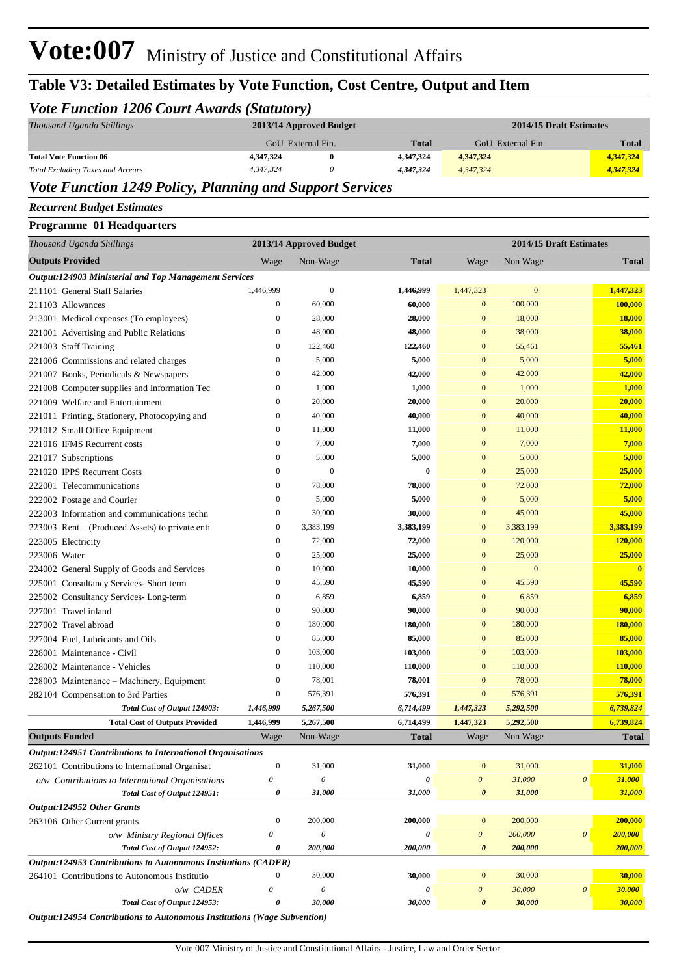## **Table V3: Detailed Estimates by Vote Function, Cost Centre, Output and Item**

### *Vote Function 1206 Court Awards (Statutory)*

| Thousand Uganda Shillings                | 2013/14 Approved Budget |                   |           | 2014/15 Draft Estimates |           |
|------------------------------------------|-------------------------|-------------------|-----------|-------------------------|-----------|
|                                          |                         | GoU External Fin. |           | GoU External Fin.       |           |
| <b>Total Vote Function 06</b>            | 4,347,324               |                   | 4,347,324 | 4,347,324               | 4,347,324 |
| <b>Total Excluding Taxes and Arrears</b> | 4.347.324               |                   | 4.347.324 | 4.347.324               | 4,347,324 |

## *Vote Function 1249 Policy, Planning and Support Services*

*Recurrent Budget Estimates*

### **Programme 01 Headquarters**

| Thousand Uganda Shillings                                         |                           | 2013/14 Approved Budget   |              |                           | 2014/15 Draft Estimates |                       |                         |
|-------------------------------------------------------------------|---------------------------|---------------------------|--------------|---------------------------|-------------------------|-----------------------|-------------------------|
| <b>Outputs Provided</b>                                           | Wage                      | Non-Wage                  | <b>Total</b> | Wage                      | Non Wage                |                       | <b>Total</b>            |
| <b>Output:124903 Ministerial and Top Management Services</b>      |                           |                           |              |                           |                         |                       |                         |
| 211101 General Staff Salaries                                     | 1,446,999                 | $\boldsymbol{0}$          | 1,446,999    | 1,447,323                 | $\mathbf{0}$            |                       | 1,447,323               |
| 211103 Allowances                                                 | $\boldsymbol{0}$          | 60,000                    | 60,000       | $\mathbf{0}$              | 100,000                 |                       | 100,000                 |
| 213001 Medical expenses (To employees)                            | $\boldsymbol{0}$          | 28,000                    | 28,000       | $\mathbf{0}$              | 18,000                  |                       | 18,000                  |
| 221001 Advertising and Public Relations                           | $\boldsymbol{0}$          | 48,000                    | 48,000       | $\mathbf{0}$              | 38,000                  |                       | 38,000                  |
| 221003 Staff Training                                             | $\boldsymbol{0}$          | 122,460                   | 122,460      | $\mathbf{0}$              | 55,461                  |                       | 55,461                  |
| 221006 Commissions and related charges                            | $\boldsymbol{0}$          | 5,000                     | 5,000        | $\mathbf{0}$              | 5,000                   |                       | 5,000                   |
| 221007 Books, Periodicals & Newspapers                            | $\boldsymbol{0}$          | 42,000                    | 42,000       | $\mathbf{0}$              | 42,000                  |                       | 42,000                  |
| 221008 Computer supplies and Information Tec                      | $\boldsymbol{0}$          | 1,000                     | 1,000        | $\mathbf{0}$              | 1,000                   |                       | 1,000                   |
| 221009 Welfare and Entertainment                                  | $\boldsymbol{0}$          | 20,000                    | 20,000       | $\mathbf{0}$              | 20,000                  |                       | 20,000                  |
| 221011 Printing, Stationery, Photocopying and                     | $\boldsymbol{0}$          | 40,000                    | 40,000       | $\mathbf{0}$              | 40,000                  |                       | 40,000                  |
| 221012 Small Office Equipment                                     | $\boldsymbol{0}$          | 11,000                    | 11,000       | $\mathbf{0}$              | 11,000                  |                       | 11,000                  |
| 221016 IFMS Recurrent costs                                       | $\boldsymbol{0}$          | 7,000                     | 7,000        | $\mathbf{0}$              | 7,000                   |                       | 7,000                   |
| 221017 Subscriptions                                              | $\boldsymbol{0}$          | 5,000                     | 5,000        | $\mathbf{0}$              | 5,000                   |                       | 5,000                   |
| 221020 IPPS Recurrent Costs                                       | $\boldsymbol{0}$          | $\mathbf{0}$              | 0            | $\mathbf{0}$              | 25,000                  |                       | 25,000                  |
| 222001 Telecommunications                                         | $\boldsymbol{0}$          | 78,000                    | 78,000       | $\mathbf{0}$              | 72,000                  |                       | 72,000                  |
| 222002 Postage and Courier                                        | $\boldsymbol{0}$          | 5,000                     | 5,000        | $\mathbf{0}$              | 5,000                   |                       | 5,000                   |
| 222003 Information and communications techn                       | $\boldsymbol{0}$          | 30,000                    | 30,000       | $\mathbf{0}$              | 45,000                  |                       | 45,000                  |
| 223003 Rent – (Produced Assets) to private enti                   | $\boldsymbol{0}$          | 3,383,199                 | 3,383,199    | $\mathbf{0}$              | 3,383,199               |                       | 3,383,199               |
| 223005 Electricity                                                | $\boldsymbol{0}$          | 72,000                    | 72,000       | $\mathbf{0}$              | 120,000                 |                       | 120,000                 |
| 223006 Water                                                      | $\boldsymbol{0}$          | 25,000                    | 25,000       | $\mathbf{0}$              | 25,000                  |                       | 25,000                  |
| 224002 General Supply of Goods and Services                       | $\boldsymbol{0}$          | 10,000                    | 10,000       | $\mathbf{0}$              | $\mathbf{0}$            |                       | $\overline{\mathbf{0}}$ |
| 225001 Consultancy Services- Short term                           | $\boldsymbol{0}$          | 45,590                    | 45,590       | $\mathbf{0}$              | 45,590                  |                       | 45,590                  |
| 225002 Consultancy Services-Long-term                             | $\boldsymbol{0}$          | 6,859                     | 6,859        | $\mathbf{0}$              | 6,859                   |                       | 6,859                   |
| 227001 Travel inland                                              | $\boldsymbol{0}$          | 90,000                    | 90,000       | $\mathbf{0}$              | 90,000                  |                       | 90,000                  |
| 227002 Travel abroad                                              | $\mathbf{0}$              | 180,000                   | 180,000      | $\mathbf{0}$              | 180,000                 |                       | 180,000                 |
| 227004 Fuel, Lubricants and Oils                                  | $\boldsymbol{0}$          | 85,000                    | 85,000       | $\mathbf{0}$              | 85,000                  |                       | 85,000                  |
| 228001 Maintenance - Civil                                        | $\boldsymbol{0}$          | 103,000                   | 103,000      | $\mathbf{0}$              | 103,000                 |                       | 103,000                 |
| 228002 Maintenance - Vehicles                                     | $\boldsymbol{0}$          | 110,000                   | 110,000      | $\mathbf{0}$              | 110,000                 |                       | 110,000                 |
| 228003 Maintenance - Machinery, Equipment                         | $\boldsymbol{0}$          | 78,001                    | 78,001       | $\mathbf{0}$              | 78,000                  |                       | 78,000                  |
| 282104 Compensation to 3rd Parties                                | $\boldsymbol{0}$          | 576,391                   | 576,391      | $\mathbf{0}$              | 576,391                 |                       | 576,391                 |
| Total Cost of Output 124903:                                      | 1,446,999                 | 5,267,500                 | 6,714,499    | 1,447,323                 | 5,292,500               |                       | 6,739,824               |
| <b>Total Cost of Outputs Provided</b>                             | 1,446,999                 | 5,267,500                 | 6,714,499    | 1,447,323                 | 5,292,500               |                       | 6,739,824               |
| <b>Outputs Funded</b>                                             | Wage                      | Non-Wage                  | <b>Total</b> | Wage                      | Non Wage                |                       | <b>Total</b>            |
| <b>Output:124951 Contributions to International Organisations</b> |                           |                           |              |                           |                         |                       |                         |
| 262101 Contributions to International Organisat                   | $\boldsymbol{0}$          | 31,000                    | 31,000       | $\mathbf{0}$              | 31,000                  |                       | 31,000                  |
| o/w Contributions to International Organisations                  | 0                         | $\boldsymbol{\mathit{0}}$ | 0            | $\boldsymbol{\mathit{0}}$ | 31,000                  | $\boldsymbol{\theta}$ | 31,000                  |
| Total Cost of Output 124951:                                      | 0                         | 31,000                    | 31,000       | $\boldsymbol{\theta}$     | 31,000                  |                       | 31,000                  |
| Output:124952 Other Grants                                        |                           |                           |              |                           |                         |                       |                         |
| 263106 Other Current grants                                       | $\boldsymbol{0}$          | 200,000                   | 200,000      | $\mathbf{0}$              | 200,000                 |                       | 200,000                 |
| o/w Ministry Regional Offices                                     | 0                         | $\boldsymbol{\mathit{0}}$ | 0            | $\boldsymbol{\theta}$     | 200,000                 | $\boldsymbol{\theta}$ | 200,000                 |
| Total Cost of Output 124952:                                      | 0                         | 200,000                   | 200,000      | $\boldsymbol{\theta}$     | 200,000                 |                       | 200,000                 |
| Output:124953 Contributions to Autonomous Institutions (CADER)    |                           |                           |              |                           |                         |                       |                         |
| 264101 Contributions to Autonomous Institutio                     | $\boldsymbol{0}$          | 30,000                    | 30,000       | $\mathbf{0}$              | 30,000                  |                       | 30,000                  |
| o/w CADER                                                         | $\boldsymbol{\mathit{0}}$ | $\boldsymbol{\mathit{0}}$ | 0            | $\boldsymbol{\theta}$     | 30,000                  | $\boldsymbol{\theta}$ | 30,000                  |
| Total Cost of Output 124953:                                      | 0                         | 30,000                    | 30,000       | $\boldsymbol{\theta}$     | 30,000                  |                       | 30,000                  |
|                                                                   |                           |                           |              |                           |                         |                       |                         |

*Output:124954 Contributions to Autonomous Institutions (Wage Subvention)*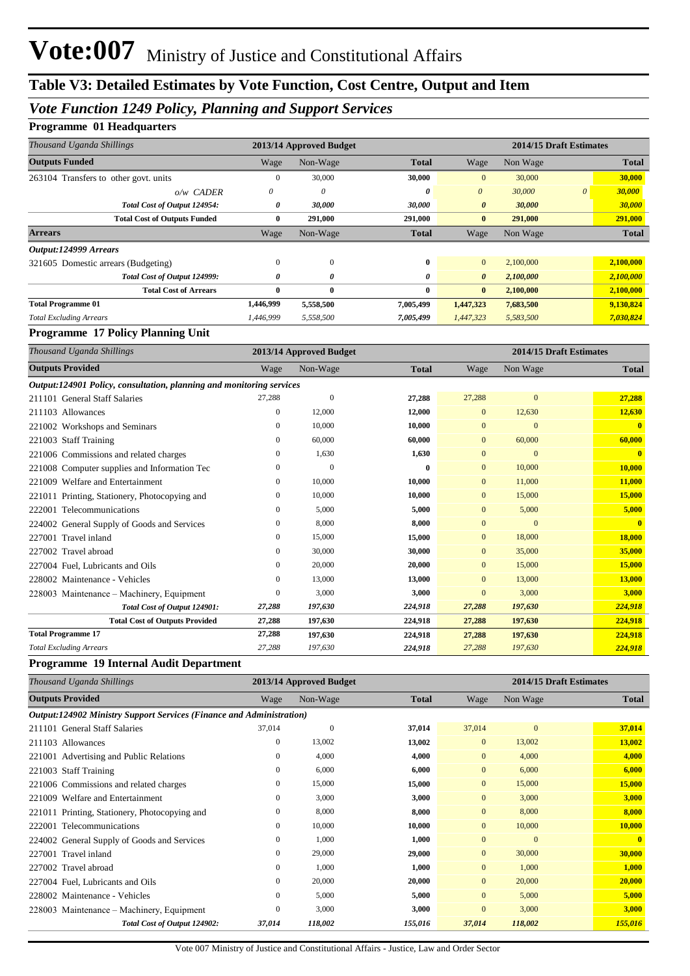## **Table V3: Detailed Estimates by Vote Function, Cost Centre, Output and Item**

### *Vote Function 1249 Policy, Planning and Support Services*

#### **Programme 01 Headquarters**

| Thousand Uganda Shillings             | 2013/14 Approved Budget |              |              |                       | 2014/15 Draft Estimates |          |              |
|---------------------------------------|-------------------------|--------------|--------------|-----------------------|-------------------------|----------|--------------|
| <b>Outputs Funded</b>                 | Wage                    | Non-Wage     | <b>Total</b> | Wage                  | Non Wage                |          | <b>Total</b> |
| 263104 Transfers to other govt. units | $\Omega$                | 30,000       | 30,000       | $\Omega$              | 30,000                  |          | 30,000       |
| $o/w$ CADER                           | 0                       | $\theta$     | 0            | $\theta$              | 30,000                  | $\theta$ | 30,000       |
| Total Cost of Output 124954:          | 0                       | 30,000       | 30,000       | $\boldsymbol{\theta}$ | 30,000                  |          | 30,000       |
| <b>Total Cost of Outputs Funded</b>   | 0                       | 291,000      | 291,000      | $\bf{0}$              | 291,000                 |          | 291,000      |
| <b>Arrears</b>                        | Wage                    | Non-Wage     | <b>Total</b> | Wage                  | Non Wage                |          | <b>Total</b> |
| Output:124999 Arrears                 |                         |              |              |                       |                         |          |              |
| 321605 Domestic arrears (Budgeting)   | $\Omega$                | $\mathbf{0}$ | $\bf{0}$     | $\overline{0}$        | 2.100,000               |          | 2,100,000    |
| Total Cost of Output 124999:          | 0                       | 0            | 0            | $\theta$              | 2,100,000               |          | 2,100,000    |
| <b>Total Cost of Arrears</b>          | 0                       | $\bf{0}$     | 0            | $\bf{0}$              | 2,100,000               |          | 2,100,000    |
| <b>Total Programme 01</b>             | 1,446,999               | 5,558,500    | 7,005,499    | 1,447,323             | 7,683,500               |          | 9,130,824    |
| <b>Total Excluding Arrears</b>        | 1,446,999               | 5,558,500    | 7,005,499    | 1,447,323             | 5,583,500               |          | 7,030,824    |

#### **Programme 17 Policy Planning Unit**

| Thousand Uganda Shillings                                            |              | 2013/14 Approved Budget |              |                |                | 2014/15 Draft Estimates |
|----------------------------------------------------------------------|--------------|-------------------------|--------------|----------------|----------------|-------------------------|
| <b>Outputs Provided</b>                                              | Wage         | Non-Wage                | <b>Total</b> | Wage           | Non Wage       | <b>Total</b>            |
| Output:124901 Policy, consultation, planning and monitoring services |              |                         |              |                |                |                         |
| 211101 General Staff Salaries                                        | 27,288       | $\mathbf{0}$            | 27,288       | 27,288         | $\mathbf{0}$   | 27,288                  |
| 211103 Allowances                                                    | $\mathbf{0}$ | 12,000                  | 12,000       | $\mathbf{0}$   | 12,630         | 12,630                  |
| 221002 Workshops and Seminars                                        | 0            | 10,000                  | 10,000       | $\mathbf{0}$   | $\overline{0}$ |                         |
| 221003 Staff Training                                                | 0            | 60,000                  | 60,000       | $\overline{0}$ | 60,000         | 60,000                  |
| 221006 Commissions and related charges                               | 0            | 1,630                   | 1,630        | $\mathbf{0}$   | $\mathbf{0}$   | $\mathbf{0}$            |
| 221008 Computer supplies and Information Tec                         | 0            | $\mathbf{0}$            | $\bf{0}$     | $\mathbf{0}$   | 10,000         | 10,000                  |
| 221009 Welfare and Entertainment                                     | 0            | 10,000                  | 10,000       | $\overline{0}$ | 11,000         | 11,000                  |
| 221011 Printing, Stationery, Photocopying and                        | 0            | 10,000                  | 10,000       | $\mathbf{0}$   | 15,000         | 15,000                  |
| 222001 Telecommunications                                            | $\mathbf{0}$ | 5,000                   | 5,000        | $\mathbf{0}$   | 5,000          | 5,000                   |
| 224002 General Supply of Goods and Services                          | $\Omega$     | 8,000                   | 8,000        | $\Omega$       | $\Omega$       | $\mathbf{0}$            |
| 227001 Travel inland                                                 | $\Omega$     | 15,000                  | 15,000       | $\mathbf{0}$   | 18,000         | 18,000                  |
| 227002 Travel abroad                                                 | 0            | 30,000                  | 30,000       | $\overline{0}$ | 35,000         | 35,000                  |
| 227004 Fuel, Lubricants and Oils                                     | 0            | 20,000                  | 20,000       | $\mathbf{0}$   | 15,000         | 15,000                  |
| 228002 Maintenance - Vehicles                                        | 0            | 13,000                  | 13,000       | $\mathbf{0}$   | 13,000         | 13,000                  |
| 228003 Maintenance - Machinery, Equipment                            | $\mathbf{0}$ | 3,000                   | 3,000        | $\mathbf{0}$   | 3,000          | 3,000                   |
| Total Cost of Output 124901:                                         | 27,288       | 197,630                 | 224,918      | 27,288         | 197,630        | 224,918                 |
| <b>Total Cost of Outputs Provided</b>                                | 27,288       | 197,630                 | 224,918      | 27,288         | 197,630        | 224,918                 |
| <b>Total Programme 17</b>                                            | 27,288       | 197,630                 | 224,918      | 27,288         | 197,630        | 224,918                 |
| <b>Total Excluding Arrears</b>                                       | 27,288       | 197,630                 | 224,918      | 27,288         | 197,630        | 224,918                 |

#### **Programme 19 Internal Audit Department**

| Thousand Uganda Shillings                                                   | 2013/14 Approved Budget |              |              |                | 2014/15 Draft Estimates |              |
|-----------------------------------------------------------------------------|-------------------------|--------------|--------------|----------------|-------------------------|--------------|
| <b>Outputs Provided</b>                                                     | Wage                    | Non-Wage     | <b>Total</b> | Wage           | Non Wage                | <b>Total</b> |
| <b>Output:124902 Ministry Support Services (Finance and Administration)</b> |                         |              |              |                |                         |              |
| 211101 General Staff Salaries                                               | 37,014                  | $\mathbf{0}$ | 37,014       | 37,014         | $\mathbf{0}$            | 37,014       |
| 211103 Allowances                                                           | $\mathbf{0}$            | 13,002       | 13,002       | $\overline{0}$ | 13,002                  | 13,002       |
| 221001 Advertising and Public Relations                                     | $\mathbf{0}$            | 4,000        | 4,000        | $\overline{0}$ | 4,000                   | 4,000        |
| 221003 Staff Training                                                       | $\mathbf{0}$            | 6,000        | 6,000        | $\overline{0}$ | 6,000                   | 6,000        |
| 221006 Commissions and related charges                                      | $\mathbf{0}$            | 15,000       | 15,000       | $\mathbf{0}$   | 15,000                  | 15,000       |
| 221009 Welfare and Entertainment                                            | $\mathbf{0}$            | 3,000        | 3,000        | $\mathbf{0}$   | 3,000                   | 3,000        |
| 221011 Printing, Stationery, Photocopying and                               | $\boldsymbol{0}$        | 8,000        | 8,000        | $\mathbf{0}$   | 8,000                   | 8,000        |
| 222001 Telecommunications                                                   | $\boldsymbol{0}$        | 10,000       | 10,000       | $\mathbf{0}$   | 10,000                  | 10,000       |
| 224002 General Supply of Goods and Services                                 | $\mathbf{0}$            | 1,000        | 1,000        | $\overline{0}$ | $\mathbf{0}$            | $\mathbf{0}$ |
| 227001 Travel inland                                                        | $\mathbf{0}$            | 29,000       | 29,000       | $\overline{0}$ | 30,000                  | 30,000       |
| 227002 Travel abroad                                                        | $\overline{0}$          | 1,000        | 1,000        | $\overline{0}$ | 1,000                   | 1,000        |
| 227004 Fuel, Lubricants and Oils                                            | $\mathbf{0}$            | 20,000       | 20,000       | $\overline{0}$ | 20,000                  | 20,000       |
| 228002 Maintenance - Vehicles                                               | $\mathbf{0}$            | 5,000        | 5,000        | $\overline{0}$ | 5,000                   | 5,000        |
| 228003 Maintenance – Machinery, Equipment                                   | $\mathbf{0}$            | 3,000        | 3,000        | $\overline{0}$ | 3,000                   | 3,000        |
| Total Cost of Output 124902:                                                | 37,014                  | 118,002      | 155,016      | 37,014         | 118,002                 | 155,016      |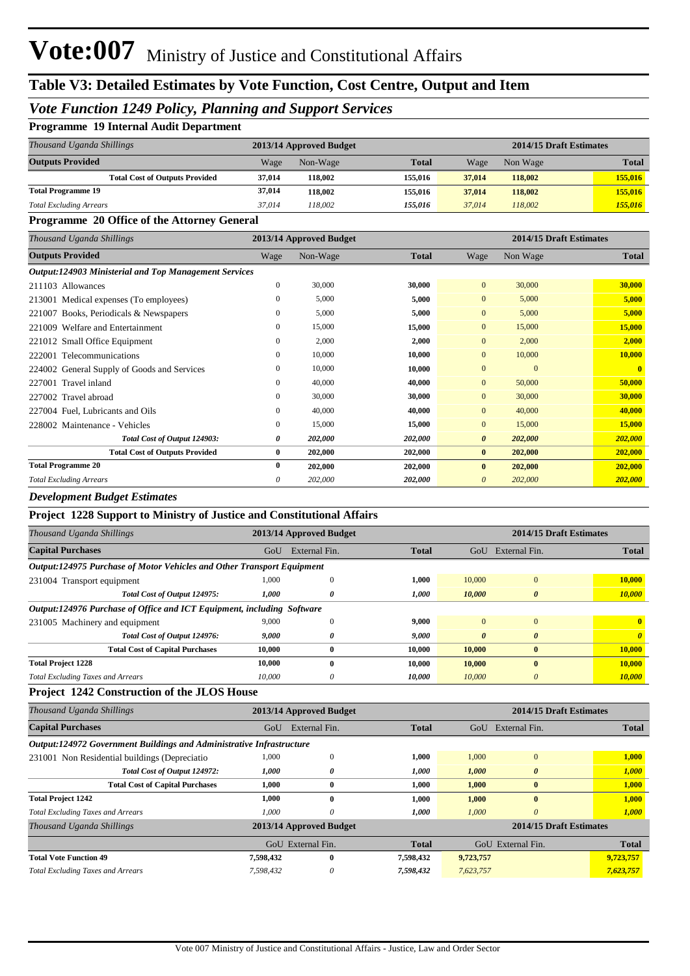## **Table V3: Detailed Estimates by Vote Function, Cost Centre, Output and Item**

### *Vote Function 1249 Policy, Planning and Support Services*

#### **Programme 19 Internal Audit Department**

| Thousand Uganda Shillings             | 2013/14 Approved Budget |          |              | 2014/15 Draft Estimates |          |              |
|---------------------------------------|-------------------------|----------|--------------|-------------------------|----------|--------------|
| <b>Outputs Provided</b>               | Wage                    | Non-Wage | <b>Total</b> | Wage                    | Non Wage | <b>Total</b> |
| <b>Total Cost of Outputs Provided</b> | 37.014                  | 118.002  | 155,016      | 37,014                  | 118.002  | 155,016      |
| <b>Total Programme 19</b>             | 37,014                  | 118.002  | 155,016      | 37,014                  | 118.002  | 155,016      |
| <b>Total Excluding Arrears</b>        | 37.014                  | 118,002  | 155.016      | 37.014                  | 118,002  | 155,016      |

#### **Programme 20 Office of the Attorney General**

| Thousand Uganda Shillings                                    | 2013/14 Approved Budget |          |              | 2014/15 Draft Estimates |                |              |
|--------------------------------------------------------------|-------------------------|----------|--------------|-------------------------|----------------|--------------|
| <b>Outputs Provided</b>                                      | Wage                    | Non-Wage | <b>Total</b> | Wage                    | Non Wage       | <b>Total</b> |
| <b>Output:124903 Ministerial and Top Management Services</b> |                         |          |              |                         |                |              |
| 211103 Allowances                                            | $\boldsymbol{0}$        | 30,000   | 30,000       | $\overline{0}$          | 30,000         | 30,000       |
| 213001 Medical expenses (To employees)                       | $\mathbf{0}$            | 5,000    | 5,000        | $\overline{0}$          | 5,000          | 5,000        |
| 221007 Books, Periodicals & Newspapers                       | $\theta$                | 5,000    | 5,000        | $\overline{0}$          | 5,000          | 5,000        |
| 221009 Welfare and Entertainment                             | $\mathbf{0}$            | 15,000   | 15,000       | $\overline{0}$          | 15,000         | 15,000       |
| 221012 Small Office Equipment                                | 0                       | 2,000    | 2,000        | $\overline{0}$          | 2,000          | 2,000        |
| 222001 Telecommunications                                    | $\mathbf{0}$            | 10,000   | 10,000       | $\overline{0}$          | 10,000         | 10,000       |
| 224002 General Supply of Goods and Services                  | $\mathbf{0}$            | 10,000   | 10,000       | $\overline{0}$          | $\overline{0}$ | $\mathbf{0}$ |
| 227001 Travel inland                                         | $\mathbf{0}$            | 40,000   | 40,000       | $\overline{0}$          | 50,000         | 50,000       |
| 227002 Travel abroad                                         | $\mathbf{0}$            | 30,000   | 30,000       | $\overline{0}$          | 30,000         | 30,000       |
| 227004 Fuel, Lubricants and Oils                             | $\mathbf{0}$            | 40,000   | 40,000       | $\overline{0}$          | 40,000         | 40,000       |
| 228002 Maintenance - Vehicles                                | $\mathbf{0}$            | 15,000   | 15,000       | $\overline{0}$          | 15,000         | 15,000       |
| Total Cost of Output 124903:                                 | 0                       | 202,000  | 202,000      | $\boldsymbol{\theta}$   | 202,000        | 202,000      |
| <b>Total Cost of Outputs Provided</b>                        | $\bf{0}$                | 202,000  | 202,000      | $\bf{0}$                | 202,000        | 202,000      |
| <b>Total Programme 20</b>                                    | 0                       | 202,000  | 202,000      | $\bf{0}$                | 202,000        | 202,000      |
| <b>Total Excluding Arrears</b>                               | 0                       | 202,000  | 202,000      | $\theta$                | 202,000        | 202,000      |

#### *Development Budget Estimates*

### **Project 1228 Support to Ministry of Justice and Constitutional Affairs**

|                                                                               |               |                                                                                                   | 2014/15 Draft Estimates |                       |              |  |  |  |  |
|-------------------------------------------------------------------------------|---------------|---------------------------------------------------------------------------------------------------|-------------------------|-----------------------|--------------|--|--|--|--|
| GoU                                                                           | External Fin. | <b>Total</b>                                                                                      | GoU                     | External Fin.         | <b>Total</b> |  |  |  |  |
| <b>Output:124975 Purchase of Motor Vehicles and Other Transport Equipment</b> |               |                                                                                                   |                         |                       |              |  |  |  |  |
| 1.000                                                                         | $\Omega$      | 1,000                                                                                             | 10,000                  | $\mathbf{0}$          | 10,000       |  |  |  |  |
| 1,000                                                                         | "             | 1,000                                                                                             | 10,000                  | $\boldsymbol{\theta}$ | 10,000       |  |  |  |  |
|                                                                               |               |                                                                                                   |                         |                       |              |  |  |  |  |
| 9,000                                                                         | 0             | 9,000                                                                                             | $\Omega$                | $\Omega$              | $\mathbf{0}$ |  |  |  |  |
| 9,000                                                                         | 0             | 9,000                                                                                             | $\theta$                | $\theta$              |              |  |  |  |  |
| 10.000                                                                        | $\bf{0}$      | 10,000                                                                                            | 10,000                  | $\mathbf{0}$          | 10,000       |  |  |  |  |
| 10,000                                                                        | $\mathbf{0}$  | 10.000                                                                                            | 10.000                  | $\mathbf{0}$          | 10.000       |  |  |  |  |
| 10,000                                                                        | 0             | 10,000                                                                                            | 10,000                  | 0                     | 10,000       |  |  |  |  |
|                                                                               |               | 2013/14 Approved Budget<br>Output:124976 Purchase of Office and ICT Equipment, including Software |                         |                       |              |  |  |  |  |

#### **Project 1242 Construction of the JLOS House**

| Thousand Uganda Shillings                                            | 2013/14 Approved Budget |                         |              | 2014/15 Draft Estimates |                       |              |  |
|----------------------------------------------------------------------|-------------------------|-------------------------|--------------|-------------------------|-----------------------|--------------|--|
| <b>Capital Purchases</b>                                             | GoU                     | External Fin.           | <b>Total</b> | GoU                     | External Fin.         | <b>Total</b> |  |
| Output:124972 Government Buildings and Administrative Infrastructure |                         |                         |              |                         |                       |              |  |
| 231001 Non Residential buildings (Depreciatio                        | 1.000                   | $\mathbf{0}$            | 1,000        | 1.000                   | $\mathbf{0}$          | 1,000        |  |
| Total Cost of Output 124972:                                         | 1,000                   | 0                       | 1,000        | 1,000                   | $\boldsymbol{\theta}$ | 1,000        |  |
| <b>Total Cost of Capital Purchases</b>                               | 1,000                   | $\boldsymbol{0}$        | 1,000        | 1,000                   | $\bf{0}$              | 1,000        |  |
| <b>Total Project 1242</b>                                            | 1,000                   | $\mathbf{0}$            | 1,000        | 1,000                   | $\mathbf{0}$          | 1,000        |  |
| <b>Total Excluding Taxes and Arrears</b>                             | 1.000                   | $\theta$                | 1,000        | 1.000                   | $\theta$              | 1,000        |  |
| Thousand Uganda Shillings                                            |                         | 2013/14 Approved Budget |              | 2014/15 Draft Estimates |                       |              |  |
|                                                                      |                         | GoU External Fin.       | <b>Total</b> |                         | GoU External Fin.     | <b>Total</b> |  |
| <b>Total Vote Function 49</b>                                        | 7,598,432               | $\mathbf{0}$            | 7,598,432    | 9,723,757               |                       | 9,723,757    |  |
| <b>Total Excluding Taxes and Arrears</b>                             | 7,598,432               | 0                       | 7,598,432    | 7,623,757               |                       | 7,623,757    |  |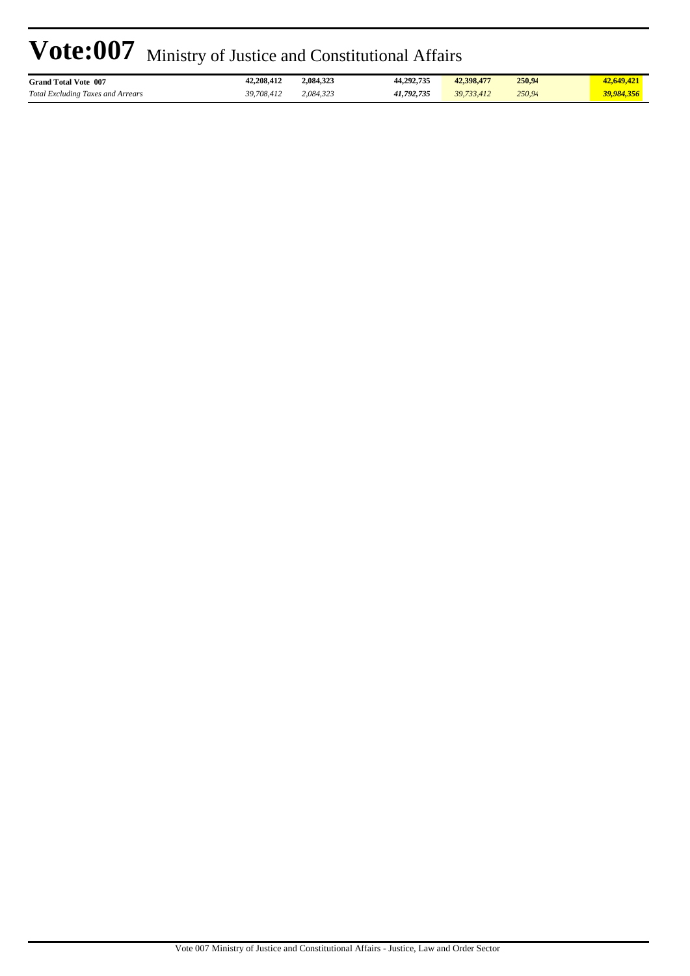| <b>Grand Total Vote 007</b>              | 42,208,412 | 2,084,323 | 44,292,735 | 42,398,477 | 250.94 | 2.649.421  |
|------------------------------------------|------------|-----------|------------|------------|--------|------------|
| <b>Total Excluding Taxes and Arrears</b> | 39,708,412 | 2.084.323 | 41,792,735 | 39,733,412 | 250,94 | 39,984,356 |